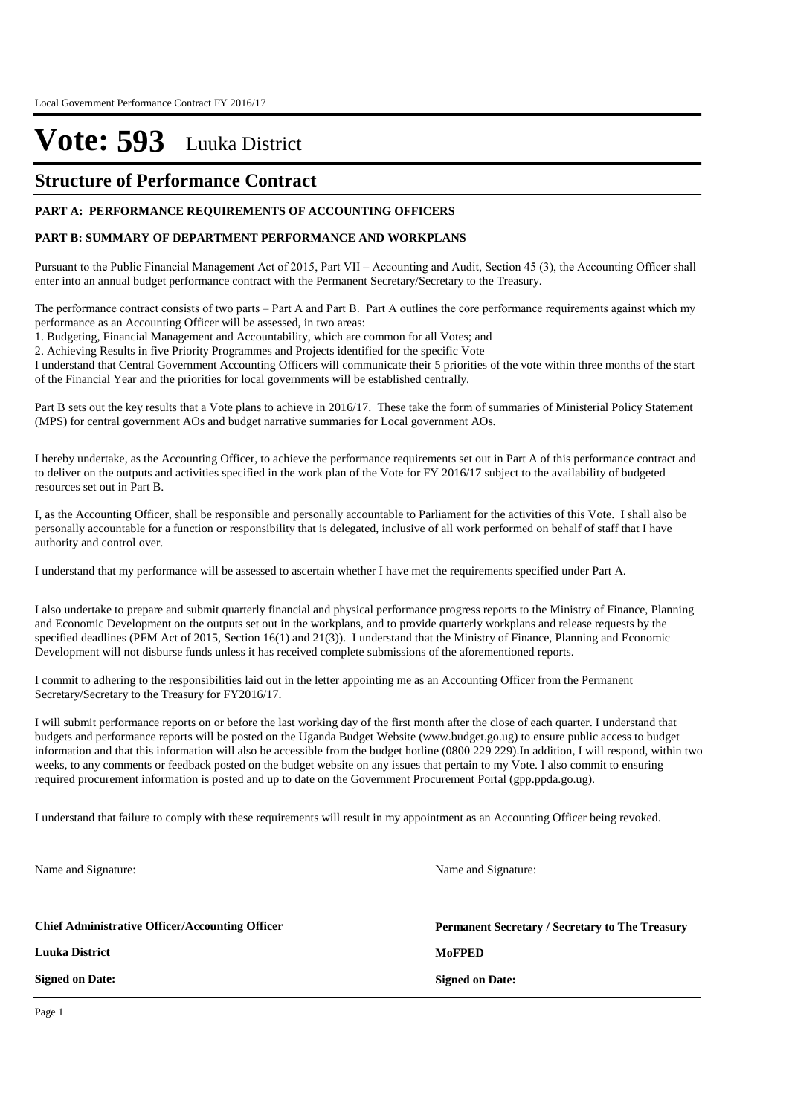### **Structure of Performance Contract**

### **PART A: PERFORMANCE REQUIREMENTS OF ACCOUNTING OFFICERS**

### **PART B: SUMMARY OF DEPARTMENT PERFORMANCE AND WORKPLANS**

Pursuant to the Public Financial Management Act of 2015, Part VII – Accounting and Audit, Section 45 (3), the Accounting Officer shall enter into an annual budget performance contract with the Permanent Secretary/Secretary to the Treasury.

The performance contract consists of two parts – Part A and Part B. Part A outlines the core performance requirements against which my performance as an Accounting Officer will be assessed, in two areas:

1. Budgeting, Financial Management and Accountability, which are common for all Votes; and

2. Achieving Results in five Priority Programmes and Projects identified for the specific Vote

I understand that Central Government Accounting Officers will communicate their 5 priorities of the vote within three months of the start of the Financial Year and the priorities for local governments will be established centrally.

Part B sets out the key results that a Vote plans to achieve in 2016/17. These take the form of summaries of Ministerial Policy Statement (MPS) for central government AOs and budget narrative summaries for Local government AOs.

I hereby undertake, as the Accounting Officer, to achieve the performance requirements set out in Part A of this performance contract and to deliver on the outputs and activities specified in the work plan of the Vote for FY 2016/17 subject to the availability of budgeted resources set out in Part B.

I, as the Accounting Officer, shall be responsible and personally accountable to Parliament for the activities of this Vote. I shall also be personally accountable for a function or responsibility that is delegated, inclusive of all work performed on behalf of staff that I have authority and control over.

I understand that my performance will be assessed to ascertain whether I have met the requirements specified under Part A.

I also undertake to prepare and submit quarterly financial and physical performance progress reports to the Ministry of Finance, Planning and Economic Development on the outputs set out in the workplans, and to provide quarterly workplans and release requests by the specified deadlines (PFM Act of 2015, Section 16(1) and 21(3)). I understand that the Ministry of Finance, Planning and Economic Development will not disburse funds unless it has received complete submissions of the aforementioned reports.

I commit to adhering to the responsibilities laid out in the letter appointing me as an Accounting Officer from the Permanent Secretary/Secretary to the Treasury for FY2016/17.

I will submit performance reports on or before the last working day of the first month after the close of each quarter. I understand that budgets and performance reports will be posted on the Uganda Budget Website (www.budget.go.ug) to ensure public access to budget information and that this information will also be accessible from the budget hotline (0800 229 229).In addition, I will respond, within two weeks, to any comments or feedback posted on the budget website on any issues that pertain to my Vote. I also commit to ensuring required procurement information is posted and up to date on the Government Procurement Portal (gpp.ppda.go.ug).

I understand that failure to comply with these requirements will result in my appointment as an Accounting Officer being revoked.

Name and Signature:

Name and Signature:

**Chief Administrative Officer/Accounting Officer**

**Luuka District MoFPED**

**Signed on Date:**

**Permanent Secretary / Secretary to The Treasury**

**Signed on Date:**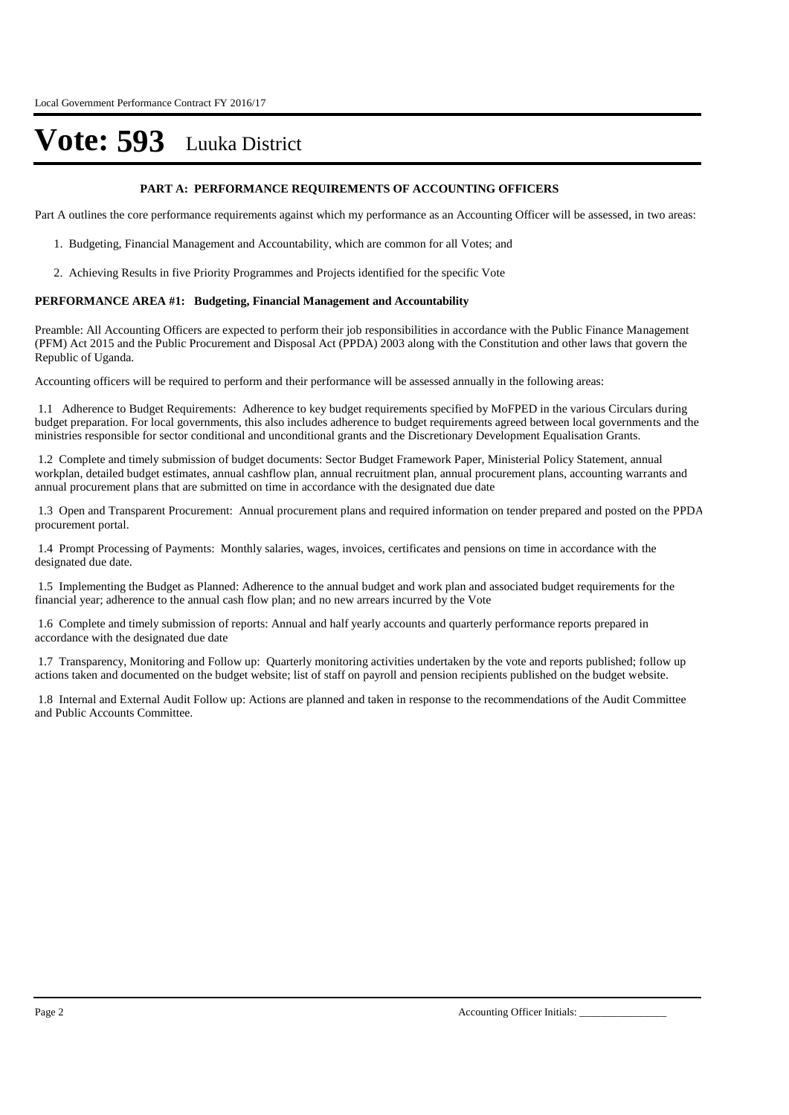#### **PART A: PERFORMANCE REQUIREMENTS OF ACCOUNTING OFFICERS**

Part A outlines the core performance requirements against which my performance as an Accounting Officer will be assessed, in two areas:

- 1. Budgeting, Financial Management and Accountability, which are common for all Votes; and
- 2. Achieving Results in five Priority Programmes and Projects identified for the specific Vote

#### **PERFORMANCE AREA #1: Budgeting, Financial Management and Accountability**

Preamble: All Accounting Officers are expected to perform their job responsibilities in accordance with the Public Finance Management (PFM) Act 2015 and the Public Procurement and Disposal Act (PPDA) 2003 along with the Constitution and other laws that govern the Republic of Uganda.

Accounting officers will be required to perform and their performance will be assessed annually in the following areas:

1.1 Adherence to Budget Requirements: Adherence to key budget requirements specified by MoFPED in the various Circulars during budget preparation. For local governments, this also includes adherence to budget requirements agreed between local governments and the ministries responsible for sector conditional and unconditional grants and the Discretionary Development Equalisation Grants.

1.2 Complete and timely submission of budget documents: Sector Budget Framework Paper, Ministerial Policy Statement, annual workplan, detailed budget estimates, annual cashflow plan, annual recruitment plan, annual procurement plans, accounting warrants and annual procurement plans that are submitted on time in accordance with the designated due date

1.3 Open and Transparent Procurement: Annual procurement plans and required information on tender prepared and posted on the PPDA procurement portal.

1.4 Prompt Processing of Payments: Monthly salaries, wages, invoices, certificates and pensions on time in accordance with the designated due date.

1.5 Implementing the Budget as Planned: Adherence to the annual budget and work plan and associated budget requirements for the financial year; adherence to the annual cash flow plan; and no new arrears incurred by the Vote

1.6 Complete and timely submission of reports: Annual and half yearly accounts and quarterly performance reports prepared in accordance with the designated due date

1.7 Transparency, Monitoring and Follow up: Quarterly monitoring activities undertaken by the vote and reports published; follow up actions taken and documented on the budget website; list of staff on payroll and pension recipients published on the budget website.

1.8 Internal and External Audit Follow up: Actions are planned and taken in response to the recommendations of the Audit Committee and Public Accounts Committee.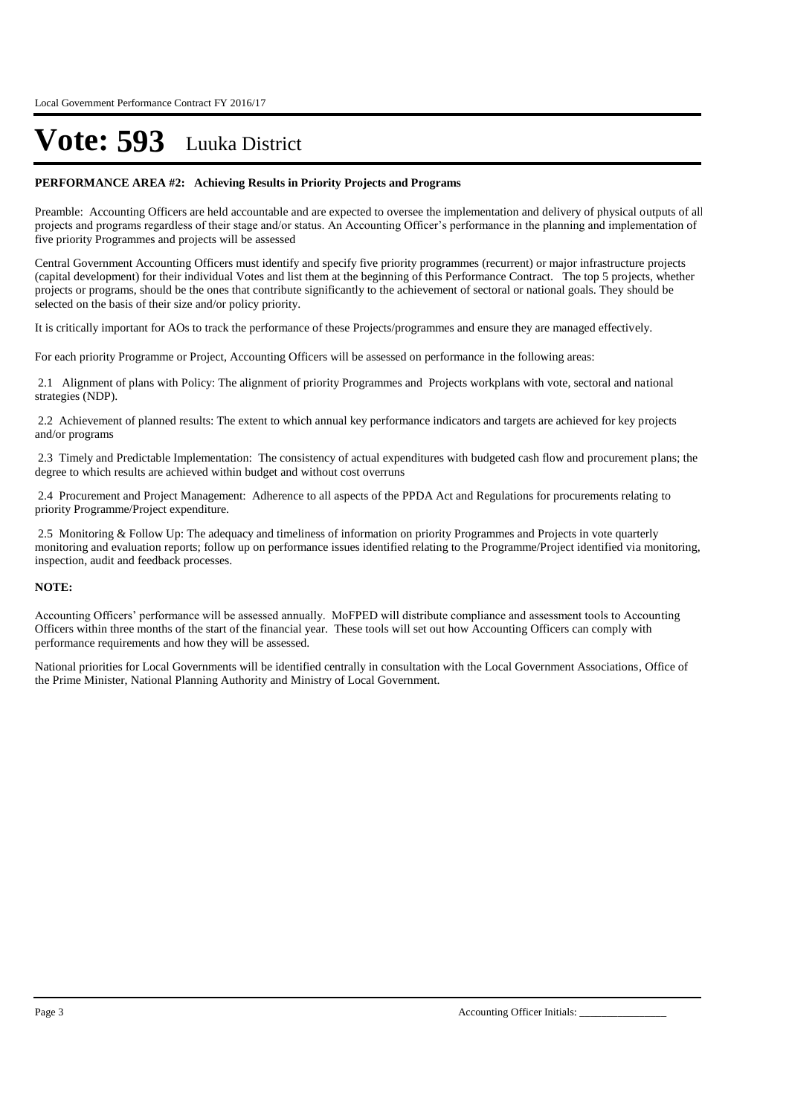#### **PERFORMANCE AREA #2: Achieving Results in Priority Projects and Programs**

Preamble: Accounting Officers are held accountable and are expected to oversee the implementation and delivery of physical outputs of all projects and programs regardless of their stage and/or status. An Accounting Officer's performance in the planning and implementation of five priority Programmes and projects will be assessed

Central Government Accounting Officers must identify and specify five priority programmes (recurrent) or major infrastructure projects (capital development) for their individual Votes and list them at the beginning of this Performance Contract. The top 5 projects, whether projects or programs, should be the ones that contribute significantly to the achievement of sectoral or national goals. They should be selected on the basis of their size and/or policy priority.

It is critically important for AOs to track the performance of these Projects/programmes and ensure they are managed effectively.

For each priority Programme or Project, Accounting Officers will be assessed on performance in the following areas:

2.1 Alignment of plans with Policy: The alignment of priority Programmes and Projects workplans with vote, sectoral and national strategies (NDP).

2.2 Achievement of planned results: The extent to which annual key performance indicators and targets are achieved for key projects and/or programs

2.3 Timely and Predictable Implementation: The consistency of actual expenditures with budgeted cash flow and procurement plans; the degree to which results are achieved within budget and without cost overruns

2.4 Procurement and Project Management: Adherence to all aspects of the PPDA Act and Regulations for procurements relating to priority Programme/Project expenditure.

2.5 Monitoring & Follow Up: The adequacy and timeliness of information on priority Programmes and Projects in vote quarterly monitoring and evaluation reports; follow up on performance issues identified relating to the Programme/Project identified via monitoring, inspection, audit and feedback processes.

#### **NOTE:**

Accounting Officers' performance will be assessed annually. MoFPED will distribute compliance and assessment tools to Accounting Officers within three months of the start of the financial year. These tools will set out how Accounting Officers can comply with performance requirements and how they will be assessed.

National priorities for Local Governments will be identified centrally in consultation with the Local Government Associations, Office of the Prime Minister, National Planning Authority and Ministry of Local Government.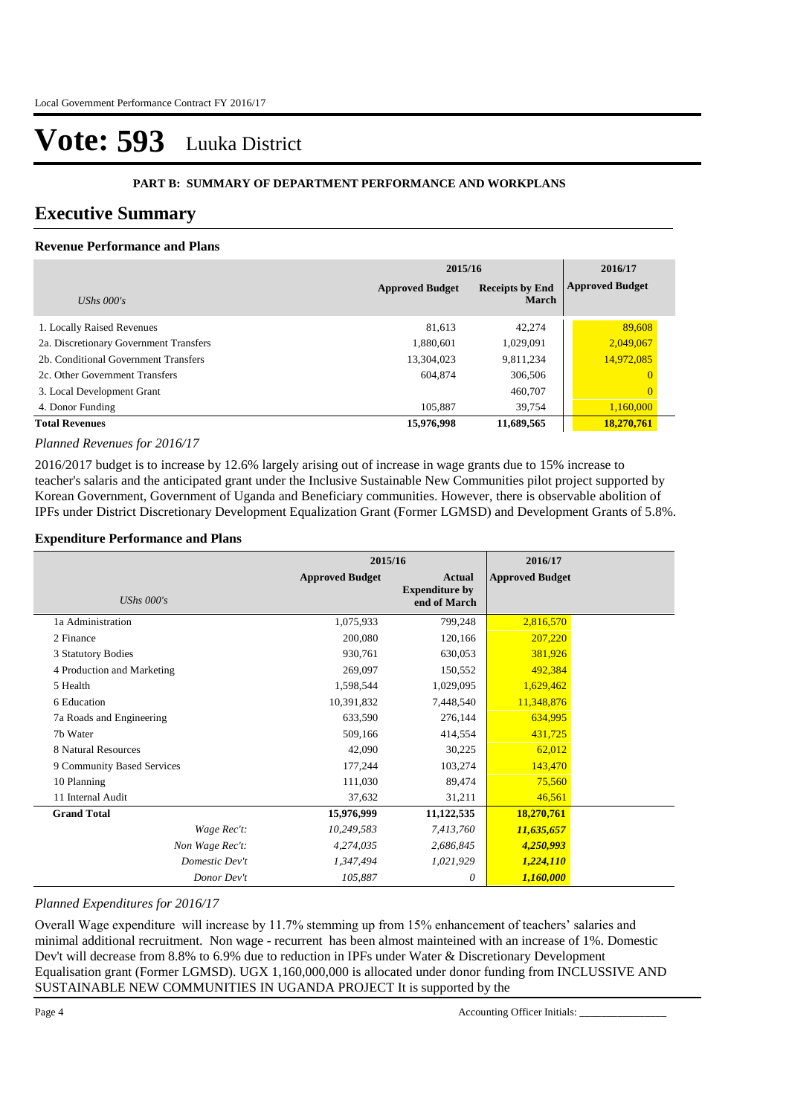#### **PART B: SUMMARY OF DEPARTMENT PERFORMANCE AND WORKPLANS**

### **Executive Summary**

### **Revenue Performance and Plans**

|                                        | 2015/16                | 2016/17                                |                        |
|----------------------------------------|------------------------|----------------------------------------|------------------------|
| UShs $000's$                           | <b>Approved Budget</b> | <b>Receipts by End</b><br><b>March</b> | <b>Approved Budget</b> |
| 1. Locally Raised Revenues             | 81.613                 | 42,274                                 | 89,608                 |
| 2a. Discretionary Government Transfers | 1,880,601              | 1,029,091                              | 2,049,067              |
| 2b. Conditional Government Transfers   | 13,304,023             | 9,811,234                              | 14,972,085             |
| 2c. Other Government Transfers         | 604.874                | 306,506                                | $\overline{0}$         |
| 3. Local Development Grant             |                        | 460,707                                | $\overline{0}$         |
| 4. Donor Funding                       | 105.887                | 39.754                                 | 1,160,000              |
| <b>Total Revenues</b>                  | 15,976,998             | 11,689,565                             | 18,270,761             |

#### *Planned Revenues for 2016/17*

2016/2017 budget is to increase by 12.6% largely arising out of increase in wage grants due to 15% increase to teacher's salaris and the anticipated grant under the Inclusive Sustainable New Communities pilot project supported by Korean Government, Government of Uganda and Beneficiary communities. However, there is observable abolition of IPFs under District Discretionary Development Equalization Grant (Former LGMSD) and Development Grants of 5.8%.

#### **Expenditure Performance and Plans**

|                            |                        | 2015/16                                                |                        |  |
|----------------------------|------------------------|--------------------------------------------------------|------------------------|--|
| <b>UShs 000's</b>          | <b>Approved Budget</b> | <b>Actual</b><br><b>Expenditure by</b><br>end of March | <b>Approved Budget</b> |  |
| 1a Administration          | 1,075,933              | 799,248                                                | 2,816,570              |  |
| 2 Finance                  | 200,080                | 120,166                                                | 207,220                |  |
| 3 Statutory Bodies         | 930,761                | 630,053                                                | 381,926                |  |
| 4 Production and Marketing | 269,097                | 150,552                                                | 492,384                |  |
| 5 Health                   | 1,598,544              | 1,029,095                                              | 1,629,462              |  |
| 6 Education                | 10,391,832             | 7,448,540                                              | 11,348,876             |  |
| 7a Roads and Engineering   | 633,590                | 276,144                                                | 634,995                |  |
| 7b Water                   | 509,166                | 414,554                                                | 431,725                |  |
| 8 Natural Resources        | 42,090                 | 30,225                                                 | 62,012                 |  |
| 9 Community Based Services | 177,244                | 103,274                                                | 143,470                |  |
| 10 Planning                | 111,030                | 89,474                                                 | 75,560                 |  |
| 11 Internal Audit          | 37,632                 | 31,211                                                 | 46,561                 |  |
| <b>Grand Total</b>         | 15,976,999             | 11,122,535                                             | 18,270,761             |  |
| Wage Rec't:                | 10,249,583             | 7,413,760                                              | 11,635,657             |  |
| Non Wage Rec't:            | 4,274,035              | 2,686,845                                              | 4,250,993              |  |
| Domestic Dev't             | 1,347,494              | 1,021,929                                              | 1,224,110              |  |
| Donor Dev't                | 105,887                | 0                                                      | 1,160,000              |  |

### *Planned Expenditures for 2016/17*

Overall Wage expenditure will increase by 11.7% stemming up from 15% enhancement of teachers' salaries and minimal additional recruitment. Non wage - recurrent has been almost mainteined with an increase of 1%. Domestic Dev't will decrease from 8.8% to 6.9% due to reduction in IPFs under Water & Discretionary Development Equalisation grant (Former LGMSD). UGX 1,160,000,000 is allocated under donor funding from INCLUSSIVE AND SUSTAINABLE NEW COMMUNITIES IN UGANDA PROJECT It is supported by the

Page 4 Accounting Officer Initials: \_\_\_\_\_\_\_\_\_\_\_\_\_\_\_\_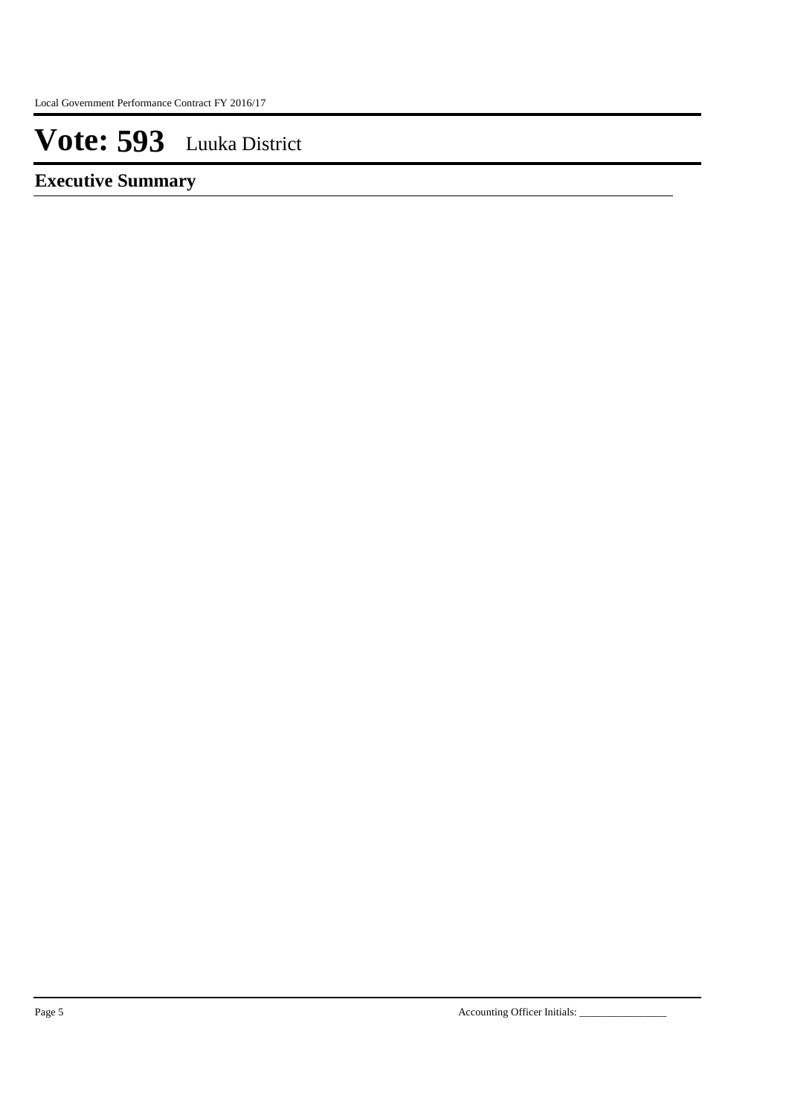**Executive Summary**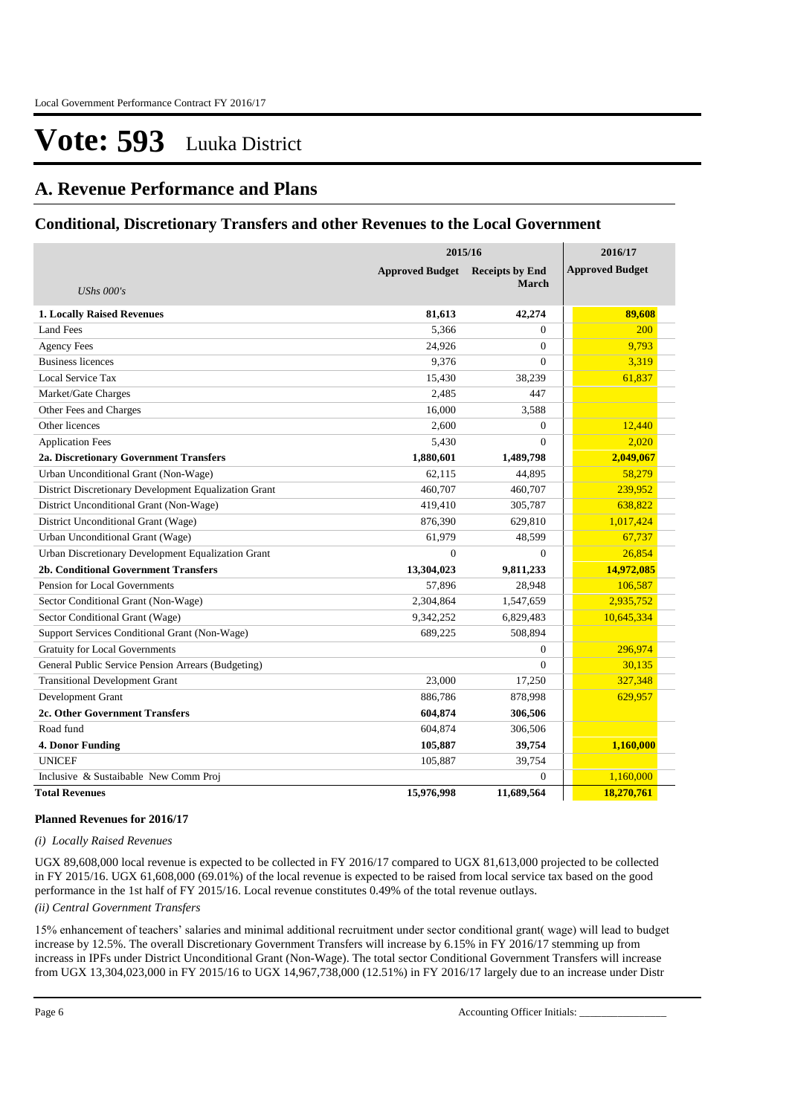### **A. Revenue Performance and Plans**

### **Conditional, Discretionary Transfers and other Revenues to the Local Government**

|                                                       | 2015/16                |                        | 2016/17                |
|-------------------------------------------------------|------------------------|------------------------|------------------------|
|                                                       | <b>Approved Budget</b> | <b>Receipts by End</b> | <b>Approved Budget</b> |
| <b>UShs 000's</b>                                     |                        | <b>March</b>           |                        |
| 1. Locally Raised Revenues                            | 81,613                 | 42,274                 | 89,608                 |
| <b>Land Fees</b>                                      | 5,366                  | $\overline{0}$         | 200                    |
| <b>Agency Fees</b>                                    | 24,926                 | $\Omega$               | 9,793                  |
| <b>Business licences</b>                              | 9,376                  | $\theta$               | 3,319                  |
| Local Service Tax                                     | 15,430                 | 38,239                 | 61,837                 |
| Market/Gate Charges                                   | 2,485                  | 447                    |                        |
| Other Fees and Charges                                | 16,000                 | 3,588                  |                        |
| Other licences                                        | 2,600                  | $\overline{0}$         | 12,440                 |
| <b>Application Fees</b>                               | 5,430                  | $\Omega$               | 2,020                  |
| 2a. Discretionary Government Transfers                | 1,880,601              | 1,489,798              | 2,049,067              |
| Urban Unconditional Grant (Non-Wage)                  | 62,115                 | 44,895                 | 58,279                 |
| District Discretionary Development Equalization Grant | 460,707                | 460,707                | 239,952                |
| District Unconditional Grant (Non-Wage)               | 419.410                | 305,787                | 638,822                |
| District Unconditional Grant (Wage)                   | 876,390                | 629,810                | 1,017,424              |
| Urban Unconditional Grant (Wage)                      | 61,979                 | 48,599                 | 67,737                 |
| Urban Discretionary Development Equalization Grant    | $\overline{0}$         | $\overline{0}$         | 26,854                 |
| <b>2b. Conditional Government Transfers</b>           | 13,304,023             | 9,811,233              | 14,972,085             |
| Pension for Local Governments                         | 57,896                 | 28,948                 | 106,587                |
| Sector Conditional Grant (Non-Wage)                   | 2,304,864              | 1,547,659              | 2,935,752              |
| Sector Conditional Grant (Wage)                       | 9,342,252              | 6,829,483              | 10,645,334             |
| Support Services Conditional Grant (Non-Wage)         | 689.225                | 508,894                |                        |
| <b>Gratuity for Local Governments</b>                 |                        | $\overline{0}$         | 296,974                |
| General Public Service Pension Arrears (Budgeting)    |                        | $\Omega$               | 30,135                 |
| <b>Transitional Development Grant</b>                 | 23,000                 | 17,250                 | 327,348                |
| Development Grant                                     | 886,786                | 878,998                | 629,957                |
| 2c. Other Government Transfers                        | 604,874                | 306,506                |                        |
| Road fund                                             | 604,874                | 306,506                |                        |
| <b>4. Donor Funding</b>                               | 105,887                | 39,754                 | 1,160,000              |
| <b>UNICEF</b>                                         | 105,887                | 39,754                 |                        |
| Inclusive & Sustaibable New Comm Proj                 |                        | $\overline{0}$         | 1,160,000              |
| <b>Total Revenues</b>                                 | 15,976,998             | 11.689.564             | 18,270,761             |

#### **Planned Revenues for 2016/17**

### *(i) Locally Raised Revenues*

UGX 89,608,000 local revenue is expected to be collected in FY 2016/17 compared to UGX 81,613,000 projected to be collected in FY 2015/16. UGX 61,608,000 (69.01%) of the local revenue is expected to be raised from local service tax based on the good performance in the 1st half of FY 2015/16. Local revenue constitutes 0.49% of the total revenue outlays.

### *(ii) Central Government Transfers*

15% enhancement of teachers' salaries and minimal additional recruitment under sector conditional grant( wage) will lead to budget increase by 12.5%. The overall Discretionary Government Transfers will increase by 6.15% in FY 2016/17 stemming up from increass in IPFs under District Unconditional Grant (Non-Wage). The total sector Conditional Government Transfers will increase from UGX 13,304,023,000 in FY 2015/16 to UGX 14,967,738,000 (12.51%) in FY 2016/17 largely due to an increase under Distr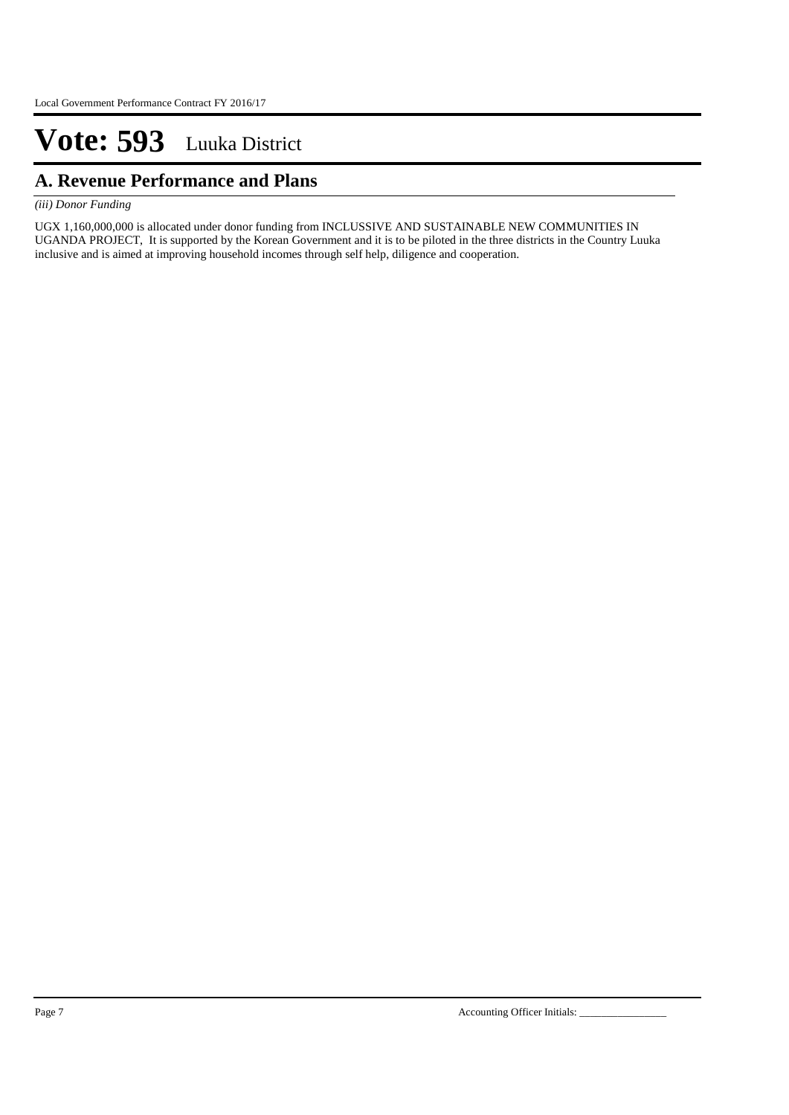## **A. Revenue Performance and Plans**

### *(iii) Donor Funding*

UGX 1,160,000,000 is allocated under donor funding from INCLUSSIVE AND SUSTAINABLE NEW COMMUNITIES IN UGANDA PROJECT, It is supported by the Korean Government and it is to be piloted in the three districts in the Country Luuka inclusive and is aimed at improving household incomes through self help, diligence and cooperation.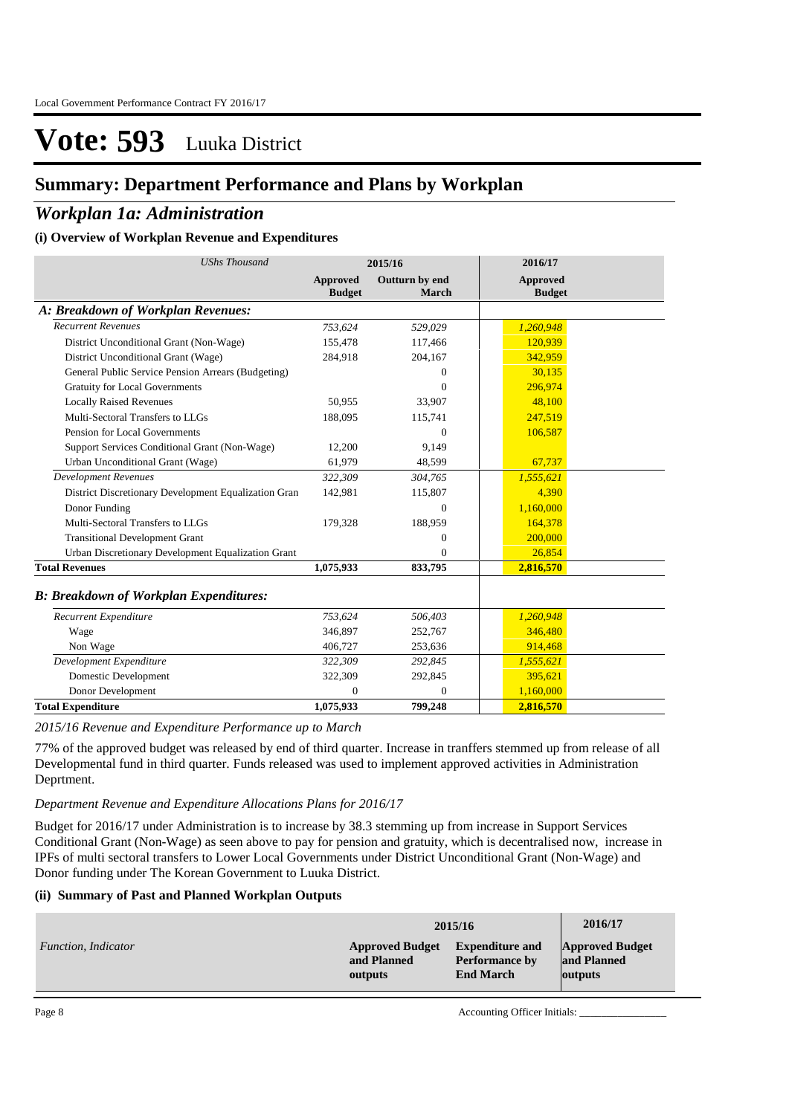### **Summary: Department Performance and Plans by Workplan**

### *Workplan 1a: Administration*

### **(i) Overview of Workplan Revenue and Expenditures**

| <b>UShs Thousand</b>                                 | 2015/16                   |                                | 2016/17                          |  |
|------------------------------------------------------|---------------------------|--------------------------------|----------------------------------|--|
|                                                      | Approved<br><b>Budget</b> | Outturn by end<br><b>March</b> | <b>Approved</b><br><b>Budget</b> |  |
| A: Breakdown of Workplan Revenues:                   |                           |                                |                                  |  |
| <b>Recurrent Revenues</b>                            | 753,624                   | 529,029                        | 1,260,948                        |  |
| District Unconditional Grant (Non-Wage)              | 155,478                   | 117,466                        | 120,939                          |  |
| District Unconditional Grant (Wage)                  | 284,918                   | 204,167                        | 342,959                          |  |
| General Public Service Pension Arrears (Budgeting)   |                           | $\Omega$                       | 30,135                           |  |
| <b>Gratuity for Local Governments</b>                |                           | $\Omega$                       | 296,974                          |  |
| <b>Locally Raised Revenues</b>                       | 50,955                    | 33,907                         | 48,100                           |  |
| Multi-Sectoral Transfers to LLGs                     | 188,095                   | 115,741                        | 247,519                          |  |
| Pension for Local Governments                        |                           | $\Omega$                       | 106,587                          |  |
| Support Services Conditional Grant (Non-Wage)        | 12,200                    | 9.149                          |                                  |  |
| Urban Unconditional Grant (Wage)                     | 61,979                    | 48,599                         | 67,737                           |  |
| <b>Development Revenues</b>                          | 322,309                   | 304,765                        | 1,555,621                        |  |
| District Discretionary Development Equalization Gran | 142,981                   | 115,807                        | 4,390                            |  |
| Donor Funding                                        |                           | $\Omega$                       | 1,160,000                        |  |
| Multi-Sectoral Transfers to LLGs                     | 179,328                   | 188,959                        | 164,378                          |  |
| <b>Transitional Development Grant</b>                |                           | $\Omega$                       | 200,000                          |  |
| Urban Discretionary Development Equalization Grant   |                           | 0                              | 26,854                           |  |
| <b>Total Revenues</b>                                | 1,075,933                 | 833,795                        | 2,816,570                        |  |
| <b>B: Breakdown of Workplan Expenditures:</b>        |                           |                                |                                  |  |
| Recurrent Expenditure                                | 753,624                   | 506,403                        | 1,260,948                        |  |
| Wage                                                 | 346,897                   | 252,767                        | 346,480                          |  |
| Non Wage                                             | 406.727                   | 253,636                        | 914,468                          |  |
| Development Expenditure                              | 322,309                   | 292,845                        | 1,555,621                        |  |
| <b>Domestic Development</b>                          | 322,309                   | 292,845                        | 395,621                          |  |
| Donor Development                                    | $\Omega$                  | $\Omega$                       | 1,160,000                        |  |
| <b>Total Expenditure</b>                             | 1,075,933                 | 799,248                        | 2,816,570                        |  |

*2015/16 Revenue and Expenditure Performance up to March*

77% of the approved budget was released by end of third quarter. Increase in tranffers stemmed up from release of all Developmental fund in third quarter. Funds released was used to implement approved activities in Administration Deprtment.

### *Department Revenue and Expenditure Allocations Plans for 2016/17*

Budget for 2016/17 under Administration is to increase by 38.3 stemming up from increase in Support Services Conditional Grant (Non-Wage) as seen above to pay for pension and gratuity, which is decentralised now, increase in IPFs of multi sectoral transfers to Lower Local Governments under District Unconditional Grant (Non-Wage) and Donor funding under The Korean Government to Luuka District.

### **(ii) Summary of Past and Planned Workplan Outputs**

|                     |                        | 2015/16                | 2016/17                |
|---------------------|------------------------|------------------------|------------------------|
| Function, Indicator | <b>Approved Budget</b> | <b>Expenditure and</b> | <b>Approved Budget</b> |
|                     | and Planned            | <b>Performance by</b>  | and Planned            |
|                     | outputs                | <b>End March</b>       | outputs                |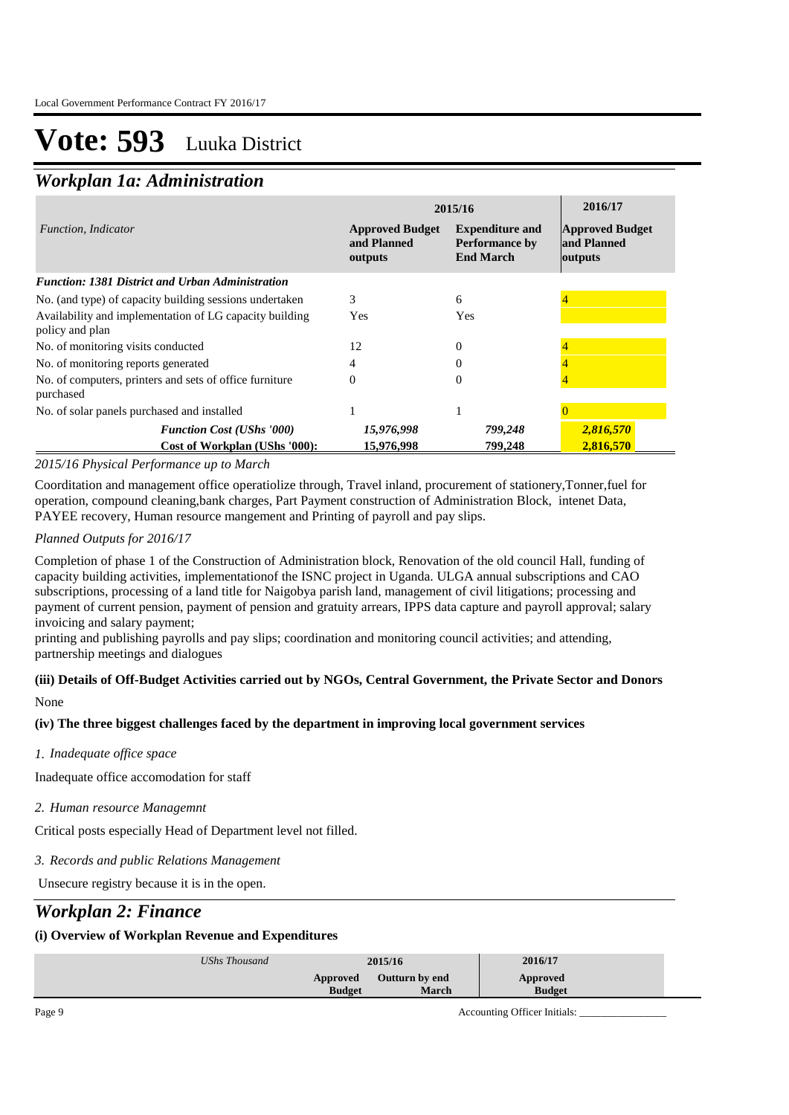## *Workplan 1a: Administration*

|                                                                            | 2015/16                                          | 2016/17                                                             |                                                  |
|----------------------------------------------------------------------------|--------------------------------------------------|---------------------------------------------------------------------|--------------------------------------------------|
| Function, Indicator                                                        | <b>Approved Budget</b><br>and Planned<br>outputs | <b>Expenditure and</b><br><b>Performance by</b><br><b>End March</b> | <b>Approved Budget</b><br>and Planned<br>outputs |
| <b>Function: 1381 District and Urban Administration</b>                    |                                                  |                                                                     |                                                  |
| No. (and type) of capacity building sessions undertaken                    | 3                                                | 6                                                                   |                                                  |
| Availability and implementation of LG capacity building<br>policy and plan | Yes                                              | Yes                                                                 |                                                  |
| No. of monitoring visits conducted                                         | 12                                               | $\Omega$                                                            |                                                  |
| No. of monitoring reports generated                                        | 4                                                |                                                                     |                                                  |
| No. of computers, printers and sets of office furniture<br>purchased       | 0                                                | $\Omega$                                                            |                                                  |
| No. of solar panels purchased and installed                                |                                                  |                                                                     |                                                  |
| <b>Function Cost (UShs '000)</b><br>Cost of Workplan (UShs '000):          | 15,976,998<br>15,976,998                         | 799,248<br>799,248                                                  | 2,816,570<br>2.816.570                           |

### *2015/16 Physical Performance up to March*

Coorditation and management office operatiolize through, Travel inland, procurement of stationery,Tonner,fuel for operation, compound cleaning,bank charges, Part Payment construction of Administration Block, intenet Data, PAYEE recovery, Human resource mangement and Printing of payroll and pay slips.

*Planned Outputs for 2016/17* 

Completion of phase 1 of the Construction of Administration block, Renovation of the old council Hall, funding of capacity building activities, implementationof the ISNC project in Uganda. ULGA annual subscriptions and CAO subscriptions, processing of a land title for Naigobya parish land, management of civil litigations; processing and payment of current pension, payment of pension and gratuity arrears, IPPS data capture and payroll approval; salary invoicing and salary payment;

printing and publishing payrolls and pay slips; coordination and monitoring council activities; and attending, partnership meetings and dialogues

### **(iii) Details of Off-Budget Activities carried out by NGOs, Central Government, the Private Sector and Donors**  None

### **(iv) The three biggest challenges faced by the department in improving local government services**

*Inadequate office space 1.*

Inadequate office accomodation for staff

*Human resource Managemnt 2.*

Critical posts especially Head of Department level not filled.

*Records and public Relations Management 3.*

Unsecure registry because it is in the open.

### *Workplan 2: Finance*

### **(i) Overview of Workplan Revenue and Expenditures**

| UShs Thousand | 2015/16       |                       | 2016/17       |
|---------------|---------------|-----------------------|---------------|
|               | Approved      | <b>Outturn by end</b> | Approved      |
|               | <b>Budget</b> | March                 | <b>Budget</b> |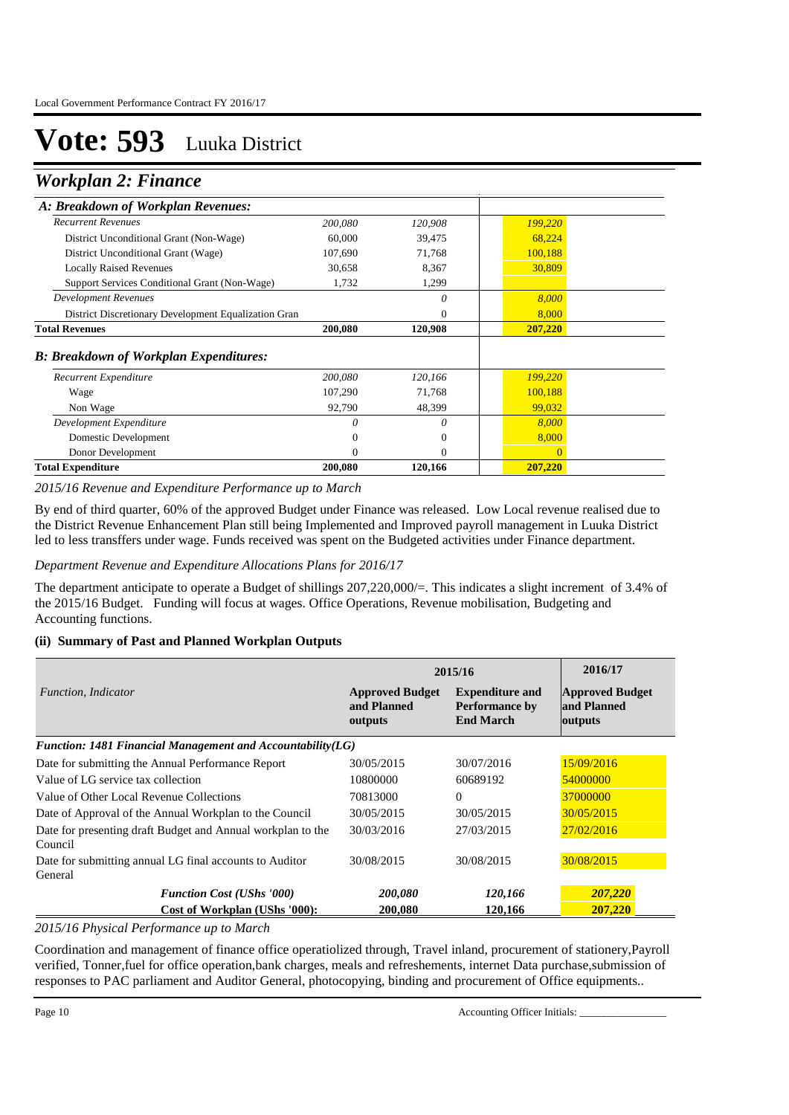### *Workplan 2: Finance*

| A: Breakdown of Workplan Revenues:                   |                   |                  |                   |  |
|------------------------------------------------------|-------------------|------------------|-------------------|--|
| <b>Recurrent Revenues</b>                            | 200,080           | 120,908          | 199,220           |  |
| District Unconditional Grant (Non-Wage)              | 60,000            | 39,475           | 68,224            |  |
| District Unconditional Grant (Wage)                  | 107,690           | 71,768           | 100,188           |  |
| <b>Locally Raised Revenues</b>                       | 30,658            | 8,367            | 30,809            |  |
| Support Services Conditional Grant (Non-Wage)        | 1,732             | 1,299            |                   |  |
| <b>Development Revenues</b>                          |                   | 0                | 8,000             |  |
| District Discretionary Development Equalization Gran |                   | 0                | 8,000             |  |
| <b>Total Revenues</b>                                | 200,080           | 120,908          | 207,220           |  |
| <b>B: Breakdown of Workplan Expenditures:</b>        |                   |                  |                   |  |
| Recurrent Expenditure                                | 200,080           | 120,166          | 199,220           |  |
| Wage<br>Non Wage                                     | 107,290<br>92,790 | 71,768<br>48,399 | 100,188<br>99,032 |  |
| Development Expenditure                              | $\Omega$          | 0                | 8,000             |  |
| Domestic Development                                 | $\theta$          | $\overline{0}$   | 8,000             |  |
|                                                      |                   |                  |                   |  |
| Donor Development                                    | $\Omega$          | $\Omega$         | $\Omega$          |  |

*2015/16 Revenue and Expenditure Performance up to March*

By end of third quarter, 60% of the approved Budget under Finance was released. Low Local revenue realised due to the District Revenue Enhancement Plan still being Implemented and Improved payroll management in Luuka District led to less transffers under wage. Funds received was spent on the Budgeted activities under Finance department.

*Department Revenue and Expenditure Allocations Plans for 2016/17*

The department anticipate to operate a Budget of shillings 207,220,000/=. This indicates a slight increment of 3.4% of the 2015/16 Budget. Funding will focus at wages. Office Operations, Revenue mobilisation, Budgeting and Accounting functions.

### **(ii) Summary of Past and Planned Workplan Outputs**

|                                                                        |                                                  | 2015/16                                                             |                                                  |  |
|------------------------------------------------------------------------|--------------------------------------------------|---------------------------------------------------------------------|--------------------------------------------------|--|
| Function, Indicator                                                    | <b>Approved Budget</b><br>and Planned<br>outputs | <b>Expenditure and</b><br><b>Performance by</b><br><b>End March</b> | <b>Approved Budget</b><br>and Planned<br>outputs |  |
| Function: 1481 Financial Management and Accountability(LG)             |                                                  |                                                                     |                                                  |  |
| Date for submitting the Annual Performance Report                      | 30/05/2015                                       | 30/07/2016                                                          | 15/09/2016                                       |  |
| Value of LG service tax collection                                     | 10800000                                         | 60689192                                                            | 54000000                                         |  |
| Value of Other Local Revenue Collections                               | 70813000                                         | $\Omega$                                                            | 37000000                                         |  |
| Date of Approval of the Annual Workplan to the Council                 | 30/05/2015                                       | 30/05/2015                                                          | 30/05/2015                                       |  |
| Date for presenting draft Budget and Annual workplan to the<br>Council | 30/03/2016                                       | 27/03/2015                                                          | 27/02/2016                                       |  |
| Date for submitting annual LG final accounts to Auditor<br>General     | 30/08/2015                                       | 30/08/2015                                                          | 30/08/2015                                       |  |
| <b>Function Cost (UShs '000)</b>                                       | 200,080                                          | 120,166                                                             | 207,220                                          |  |
| Cost of Workplan (UShs '000):                                          | 200,080                                          | 120,166                                                             | 207,220                                          |  |

*2015/16 Physical Performance up to March*

Coordination and management of finance office operatiolized through, Travel inland, procurement of stationery,Payroll verified, Tonner,fuel for office operation,bank charges, meals and refreshements, internet Data purchase,submission of responses to PAC parliament and Auditor General, photocopying, binding and procurement of Office equipments..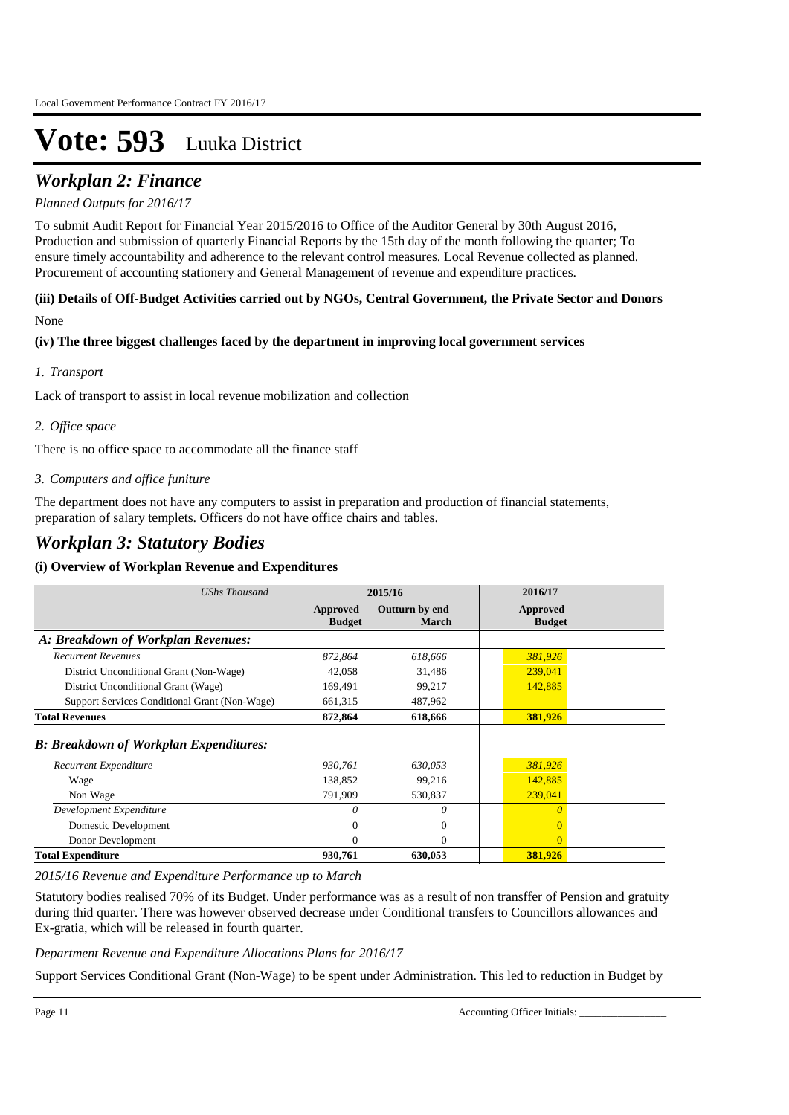## *Workplan 2: Finance*

### *Planned Outputs for 2016/17*

To submit Audit Report for Financial Year 2015/2016 to Office of the Auditor General by 30th August 2016, Production and submission of quarterly Financial Reports by the 15th day of the month following the quarter; To ensure timely accountability and adherence to the relevant control measures. Local Revenue collected as planned. Procurement of accounting stationery and General Management of revenue and expenditure practices.

### **(iii) Details of Off-Budget Activities carried out by NGOs, Central Government, the Private Sector and Donors**  None

### **(iv) The three biggest challenges faced by the department in improving local government services**

### *Transport 1.*

Lack of transport to assist in local revenue mobilization and collection

### *Office space 2.*

There is no office space to accommodate all the finance staff

### *Computers and office funiture 3.*

The department does not have any computers to assist in preparation and production of financial statements, preparation of salary templets. Officers do not have office chairs and tables.

### *Workplan 3: Statutory Bodies*

### **(i) Overview of Workplan Revenue and Expenditures**

| <b>UShs Thousand</b>                          |                           | 2015/16                        | 2016/17                   |  |
|-----------------------------------------------|---------------------------|--------------------------------|---------------------------|--|
|                                               | Approved<br><b>Budget</b> | Outturn by end<br><b>March</b> | Approved<br><b>Budget</b> |  |
| A: Breakdown of Workplan Revenues:            |                           |                                |                           |  |
| <b>Recurrent Revenues</b>                     | 872,864                   | 618,666                        | 381,926                   |  |
| District Unconditional Grant (Non-Wage)       | 42,058                    | 31,486                         | 239,041                   |  |
| District Unconditional Grant (Wage)           | 169,491                   | 99,217                         | 142,885                   |  |
| Support Services Conditional Grant (Non-Wage) | 661,315                   | 487,962                        |                           |  |
| <b>Total Revenues</b>                         | 872,864                   | 618,666                        | 381,926                   |  |
| <b>B: Breakdown of Workplan Expenditures:</b> |                           |                                |                           |  |
| Recurrent Expenditure                         | 930,761                   | 630,053                        | 381,926                   |  |
| Wage                                          | 138,852                   | 99,216                         | 142,885                   |  |
| Non Wage                                      | 791,909                   | 530,837                        | 239,041                   |  |
| Development Expenditure                       | 0                         | 0                              | $\theta$                  |  |
| Domestic Development                          | $^{(1)}$                  | $\Omega$                       | $\Omega$                  |  |
| Donor Development                             | 0                         | $\Omega$                       | $\Omega$                  |  |
| <b>Total Expenditure</b>                      | 930,761                   | 630,053                        | 381,926                   |  |

*2015/16 Revenue and Expenditure Performance up to March*

Statutory bodies realised 70% of its Budget. Under performance was as a result of non transffer of Pension and gratuity during thid quarter. There was however observed decrease under Conditional transfers to Councillors allowances and Ex-gratia, which will be released in fourth quarter.

### *Department Revenue and Expenditure Allocations Plans for 2016/17*

Support Services Conditional Grant (Non-Wage) to be spent under Administration. This led to reduction in Budget by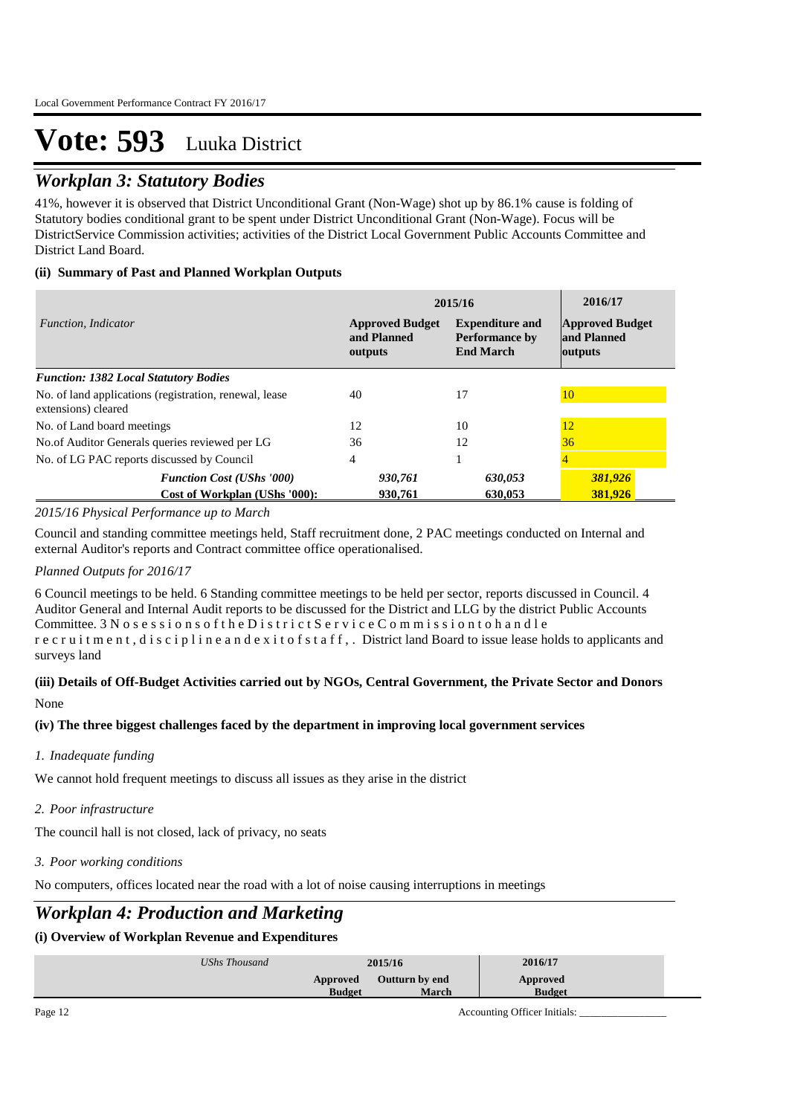## *Workplan 3: Statutory Bodies*

41%, however it is observed that District Unconditional Grant (Non-Wage) shot up by 86.1% cause is folding of Statutory bodies conditional grant to be spent under District Unconditional Grant (Non-Wage). Focus will be DistrictService Commission activities; activities of the District Local Government Public Accounts Committee and District Land Board.

### **(ii) Summary of Past and Planned Workplan Outputs**

|                                                                               | 2015/16                                          | 2016/17                                                             |                                                  |
|-------------------------------------------------------------------------------|--------------------------------------------------|---------------------------------------------------------------------|--------------------------------------------------|
| Function, Indicator                                                           | <b>Approved Budget</b><br>and Planned<br>outputs | <b>Expenditure and</b><br><b>Performance by</b><br><b>End March</b> | <b>Approved Budget</b><br>and Planned<br>outputs |
| <b>Function: 1382 Local Statutory Bodies</b>                                  |                                                  |                                                                     |                                                  |
| No. of land applications (registration, renewal, lease<br>extensions) cleared | 40                                               | 17                                                                  | 10                                               |
| No. of Land board meetings                                                    | 12                                               | 10                                                                  | 12                                               |
| No.of Auditor Generals queries reviewed per LG                                | 36                                               | 12                                                                  | 36                                               |
| No. of LG PAC reports discussed by Council                                    | 4                                                |                                                                     |                                                  |
| <b>Function Cost (UShs '000)</b><br>Cost of Workplan (UShs '000):             | 930,761<br>930.761                               | 630,053<br>630.053                                                  | 381,926<br>381.926                               |

### *2015/16 Physical Performance up to March*

Council and standing committee meetings held, Staff recruitment done, 2 PAC meetings conducted on Internal and external Auditor's reports and Contract committee office operationalised.

### *Planned Outputs for 2016/17*

6 Council meetings to be held. 6 Standing committee meetings to be held per sector, reports discussed in Council. 4 Auditor General and Internal Audit reports to be discussed for the District and LLG by the district Public Accounts Committee. 3 N o s e s s i o n s o f t h e D i s t r i c t S e r v i c e C o m m i s s i o n t o h a n d l e r e c r u i t m e n t , d i s c i p l i n e a n d e x i t o f s t a f f , . District land Board to issue lease holds to applicants and surveys land

### **(iii) Details of Off-Budget Activities carried out by NGOs, Central Government, the Private Sector and Donors**  None

### **(iv) The three biggest challenges faced by the department in improving local government services**

*Inadequate funding 1.*

We cannot hold frequent meetings to discuss all issues as they arise in the district

*Poor infrastructure 2.*

The council hall is not closed, lack of privacy, no seats

*Poor working conditions 3.*

No computers, offices located near the road with a lot of noise causing interruptions in meetings

## *Workplan 4: Production and Marketing*

### **(i) Overview of Workplan Revenue and Expenditures**

| UShs Thousand | 2015/16                   |                                | 2016/17                   |
|---------------|---------------------------|--------------------------------|---------------------------|
|               | Approved<br><b>Budget</b> | Outturn by end<br><b>March</b> | Approved<br><b>Budget</b> |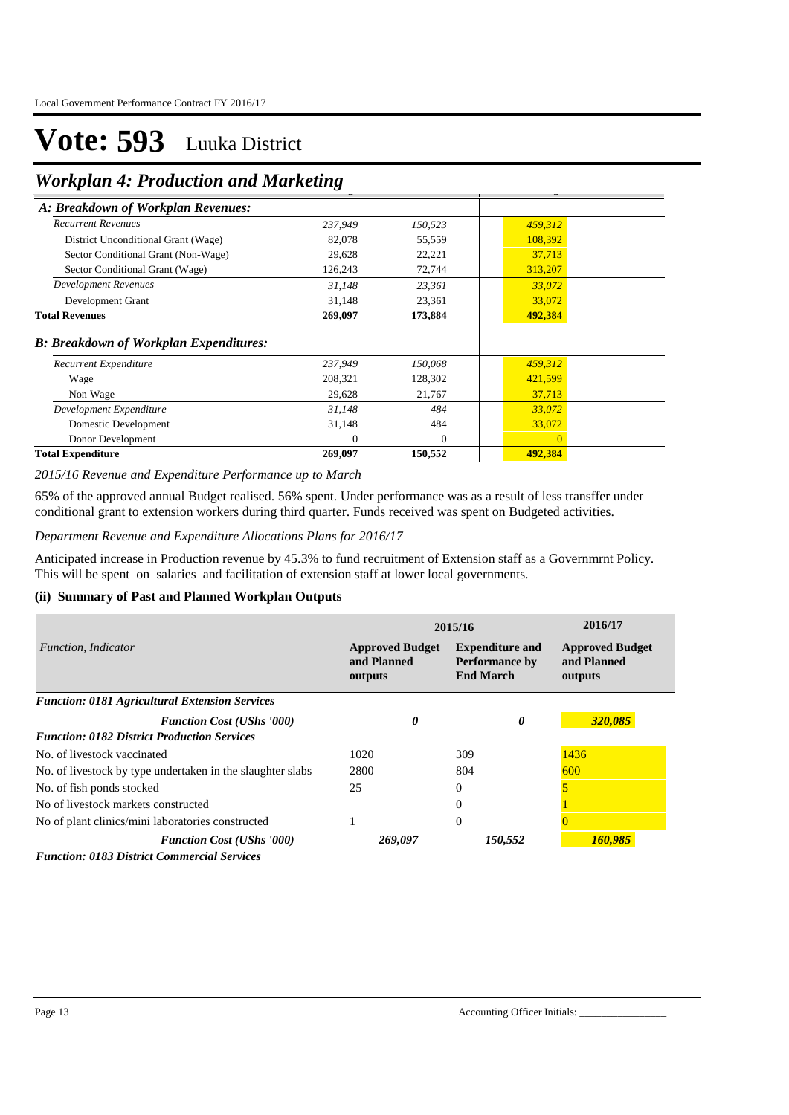## **Workplan 4: Production and Marketing**

| $\ldots$ and $\ldots$ is a followed the choice of $\ldots$ |         |          |          |  |
|------------------------------------------------------------|---------|----------|----------|--|
| A: Breakdown of Workplan Revenues:                         |         |          |          |  |
| <b>Recurrent Revenues</b>                                  | 237,949 | 150,523  | 459,312  |  |
| District Unconditional Grant (Wage)                        | 82,078  | 55,559   | 108,392  |  |
| Sector Conditional Grant (Non-Wage)                        | 29,628  | 22,221   | 37,713   |  |
| Sector Conditional Grant (Wage)                            | 126,243 | 72,744   | 313,207  |  |
| Development Revenues                                       | 31,148  | 23,361   | 33,072   |  |
| Development Grant                                          | 31,148  | 23,361   | 33,072   |  |
| <b>Total Revenues</b>                                      | 269,097 | 173,884  | 492,384  |  |
| <b>B: Breakdown of Workplan Expenditures:</b>              |         |          |          |  |
| Recurrent Expenditure                                      | 237,949 | 150,068  | 459,312  |  |
| Wage                                                       | 208,321 | 128,302  | 421,599  |  |
| Non Wage                                                   | 29,628  | 21,767   | 37,713   |  |
| Development Expenditure                                    | 31,148  | 484      | 33,072   |  |
| Domestic Development                                       | 31,148  | 484      | 33,072   |  |
| Donor Development                                          | 0       | $\Omega$ | $\Omega$ |  |
| <b>Total Expenditure</b>                                   | 269,097 | 150,552  | 492,384  |  |

*2015/16 Revenue and Expenditure Performance up to March*

65% of the approved annual Budget realised. 56% spent. Under performance was as a result of less transffer under conditional grant to extension workers during third quarter. Funds received was spent on Budgeted activities.

### *Department Revenue and Expenditure Allocations Plans for 2016/17*

Anticipated increase in Production revenue by 45.3% to fund recruitment of Extension staff as a Governmrnt Policy. This will be spent on salaries and facilitation of extension staff at lower local governments.

### **(ii) Summary of Past and Planned Workplan Outputs**

|                                                            | 2015/16                                          | 2016/17                                                             |                                                  |
|------------------------------------------------------------|--------------------------------------------------|---------------------------------------------------------------------|--------------------------------------------------|
| Function, Indicator                                        | <b>Approved Budget</b><br>and Planned<br>outputs | <b>Expenditure and</b><br><b>Performance by</b><br><b>End March</b> | <b>Approved Budget</b><br>and Planned<br>outputs |
| <b>Function: 0181 Agricultural Extension Services</b>      |                                                  |                                                                     |                                                  |
| <b>Function Cost (UShs '000)</b>                           | 0                                                | 0                                                                   | 320,085                                          |
| <b>Function: 0182 District Production Services</b>         |                                                  |                                                                     |                                                  |
| No. of livestock vaccinated                                | 1020                                             | 309                                                                 | 1436                                             |
| No. of livestock by type undertaken in the slaughter slabs | 2800                                             | 804                                                                 | 600                                              |
| No. of fish ponds stocked                                  | 25                                               | $\Omega$                                                            |                                                  |
| No of livestock markets constructed                        |                                                  | $\Omega$                                                            |                                                  |
| No of plant clinics/mini laboratories constructed          |                                                  | $\overline{0}$                                                      |                                                  |
| <b>Function Cost (UShs '000)</b>                           | 269,097                                          | 150,552                                                             | 160.985                                          |
| <b>Function: 0183 District Commercial Services</b>         |                                                  |                                                                     |                                                  |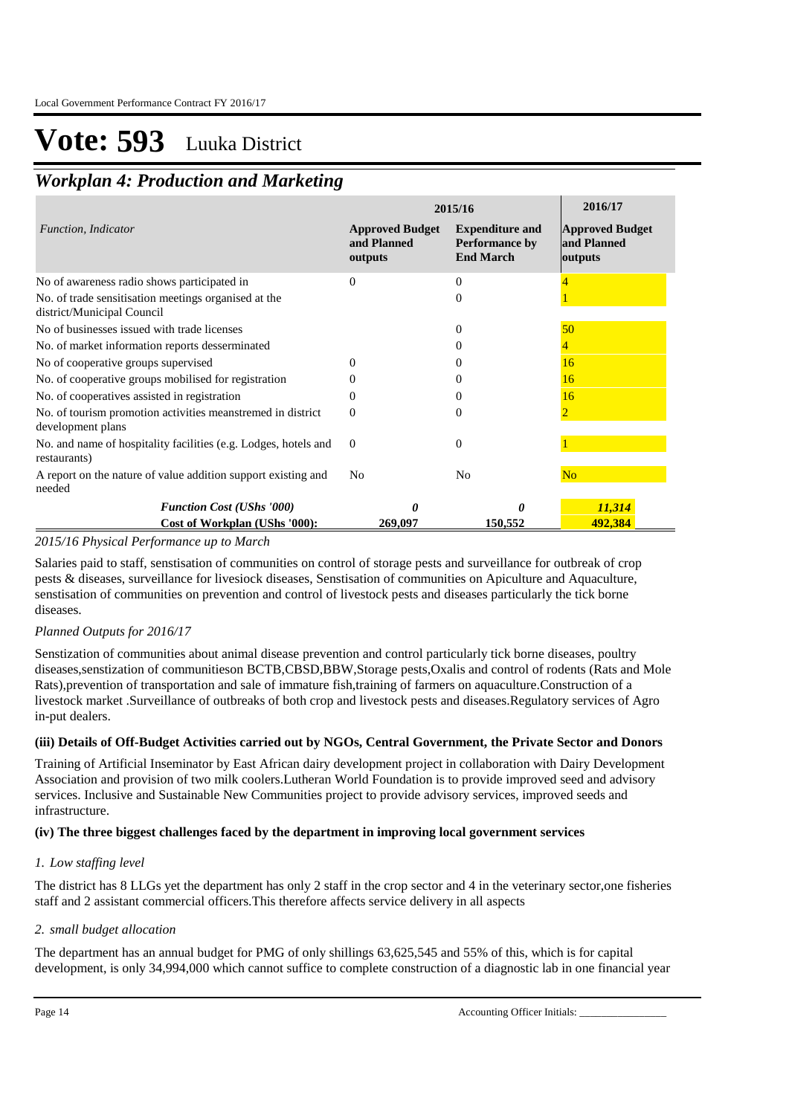## *Workplan 4: Production and Marketing*

|                                                                                    |                                                  | 2015/16                                                      | 2016/17                                          |
|------------------------------------------------------------------------------------|--------------------------------------------------|--------------------------------------------------------------|--------------------------------------------------|
| Function, Indicator                                                                | <b>Approved Budget</b><br>and Planned<br>outputs | <b>Expenditure and</b><br>Performance by<br><b>End March</b> | <b>Approved Budget</b><br>and Planned<br>outputs |
| No of awareness radio shows participated in                                        | $\Omega$                                         | $\Omega$                                                     |                                                  |
| No. of trade sensitisation meetings organised at the<br>district/Municipal Council |                                                  | 0                                                            |                                                  |
| No of businesses issued with trade licenses                                        |                                                  | $\theta$                                                     | 50                                               |
| No. of market information reports desserminated                                    |                                                  |                                                              |                                                  |
| No of cooperative groups supervised                                                |                                                  |                                                              | 16                                               |
| No. of cooperative groups mobilised for registration                               |                                                  |                                                              | 16                                               |
| No. of cooperatives assisted in registration                                       |                                                  |                                                              | 16                                               |
| No. of tourism promotion activities meanstremed in district<br>development plans   | 0                                                | 0                                                            | $\overline{2}$                                   |
| No. and name of hospitality facilities (e.g. Lodges, hotels and<br>restaurants)    | $\Omega$                                         | $\overline{0}$                                               |                                                  |
| A report on the nature of value addition support existing and<br>needed            | N <sub>0</sub>                                   | No                                                           | N <sub>o</sub>                                   |
| <b>Function Cost (UShs '000)</b>                                                   |                                                  | O                                                            | 11,314                                           |
| Cost of Workplan (UShs '000):                                                      | 269,097                                          | 150,552                                                      | 492,384                                          |

### *2015/16 Physical Performance up to March*

Salaries paid to staff, senstisation of communities on control of storage pests and surveillance for outbreak of crop pests & diseases, surveillance for livesiock diseases, Senstisation of communities on Apiculture and Aquaculture, senstisation of communities on prevention and control of livestock pests and diseases particularly the tick borne diseases.

### *Planned Outputs for 2016/17*

Senstization of communities about animal disease prevention and control particularly tick borne diseases, poultry diseases,senstization of communitieson BCTB,CBSD,BBW,Storage pests,Oxalis and control of rodents (Rats and Mole Rats),prevention of transportation and sale of immature fish,training of farmers on aquaculture.Construction of a livestock market .Surveillance of outbreaks of both crop and livestock pests and diseases.Regulatory services of Agro in-put dealers.

### **(iii) Details of Off-Budget Activities carried out by NGOs, Central Government, the Private Sector and Donors**

Training of Artificial Inseminator by East African dairy development project in collaboration with Dairy Development Association and provision of two milk coolers.Lutheran World Foundation is to provide improved seed and advisory services. Inclusive and Sustainable New Communities project to provide advisory services, improved seeds and infrastructure.

### **(iv) The three biggest challenges faced by the department in improving local government services**

### *Low staffing level 1.*

The district has 8 LLGs yet the department has only 2 staff in the crop sector and 4 in the veterinary sector,one fisheries staff and 2 assistant commercial officers.This therefore affects service delivery in all aspects

### *small budget allocation 2.*

The department has an annual budget for PMG of only shillings 63,625,545 and 55% of this, which is for capital development, is only 34,994,000 which cannot suffice to complete construction of a diagnostic lab in one financial year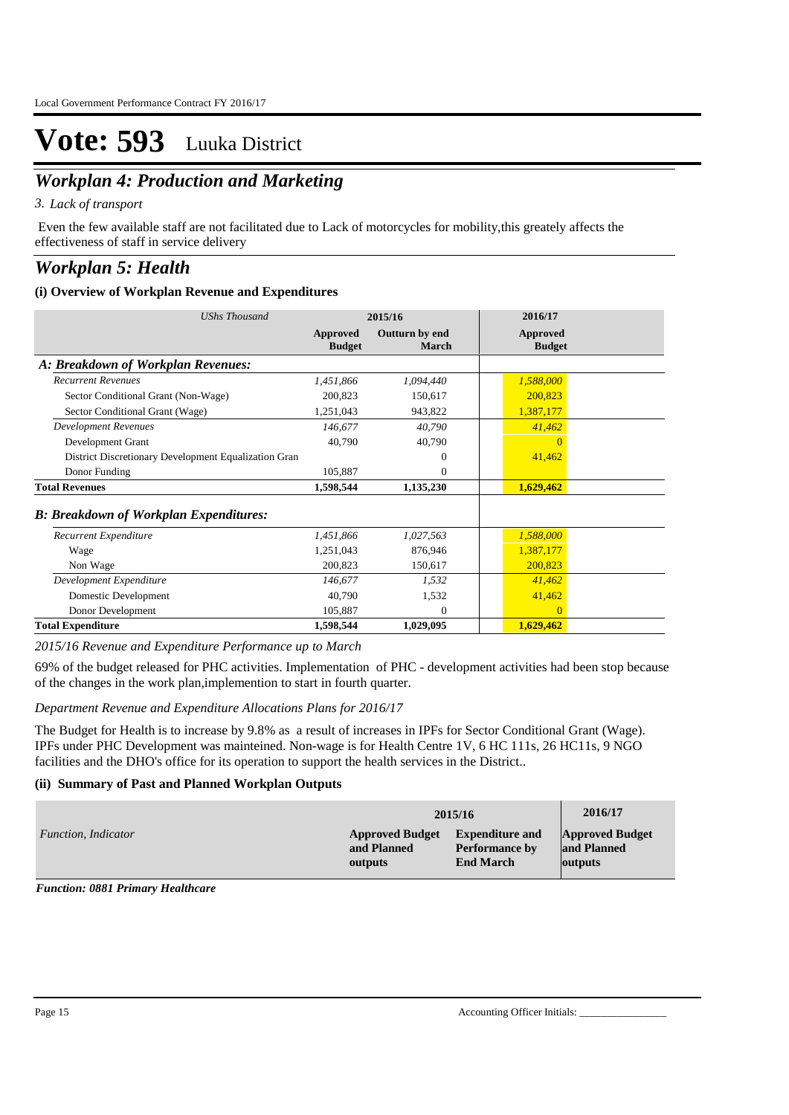## *Workplan 4: Production and Marketing*

*Lack of transport 3.*

 Even the few available staff are not facilitated due to Lack of motorcycles for mobility,this greately affects the effectiveness of staff in service delivery

## *Workplan 5: Health*

### **(i) Overview of Workplan Revenue and Expenditures**

| <b>UShs Thousand</b>                                 |                                  | 2015/16                 | 2016/17                          |
|------------------------------------------------------|----------------------------------|-------------------------|----------------------------------|
|                                                      | <b>Approved</b><br><b>Budget</b> | Outturn by end<br>March | <b>Approved</b><br><b>Budget</b> |
| A: Breakdown of Workplan Revenues:                   |                                  |                         |                                  |
| <b>Recurrent Revenues</b>                            | 1,451,866                        | 1,094,440               | 1,588,000                        |
| Sector Conditional Grant (Non-Wage)                  | 200,823                          | 150,617                 | 200,823                          |
| Sector Conditional Grant (Wage)                      | 1,251,043                        | 943,822                 | 1,387,177                        |
| <b>Development Revenues</b>                          | 146,677                          | 40,790                  | 41,462                           |
| Development Grant                                    | 40,790                           | 40,790                  | $\Omega$                         |
| District Discretionary Development Equalization Gran |                                  | $\Omega$                | 41,462                           |
| Donor Funding                                        | 105,887                          | $\mathbf{0}$            |                                  |
| <b>Total Revenues</b>                                | 1,598,544                        | 1,135,230               | 1,629,462                        |
| <b>B: Breakdown of Workplan Expenditures:</b>        |                                  |                         |                                  |
| Recurrent Expenditure                                | 1,451,866                        | 1,027,563               | 1,588,000                        |
| Wage                                                 | 1,251,043                        | 876,946                 | 1,387,177                        |
| Non Wage                                             | 200,823                          | 150,617                 | 200,823                          |
| Development Expenditure                              | 146.677                          | 1,532                   | 41,462                           |
| Domestic Development                                 | 40,790                           | 1,532                   | 41,462                           |
| Donor Development                                    | 105,887                          | $\Omega$                | $\Omega$                         |
| <b>Total Expenditure</b>                             | 1,598,544                        | 1,029,095               | 1,629,462                        |

*2015/16 Revenue and Expenditure Performance up to March*

69% of the budget released for PHC activities. Implementation of PHC - development activities had been stop because of the changes in the work plan,implemention to start in fourth quarter.

### *Department Revenue and Expenditure Allocations Plans for 2016/17*

The Budget for Health is to increase by 9.8% as a result of increases in IPFs for Sector Conditional Grant (Wage). IPFs under PHC Development was mainteined. Non-wage is for Health Centre 1V, 6 HC 111s, 26 HC11s, 9 NGO facilities and the DHO's office for its operation to support the health services in the District..

### **(ii) Summary of Past and Planned Workplan Outputs**

|                     |                        | 2015/16                | 2016/17                |
|---------------------|------------------------|------------------------|------------------------|
| Function, Indicator | <b>Approved Budget</b> | <b>Expenditure and</b> | <b>Approved Budget</b> |
|                     | and Planned            | <b>Performance by</b>  | and Planned            |
|                     | outputs                | <b>End March</b>       | outputs                |

*Function: 0881 Primary Healthcare*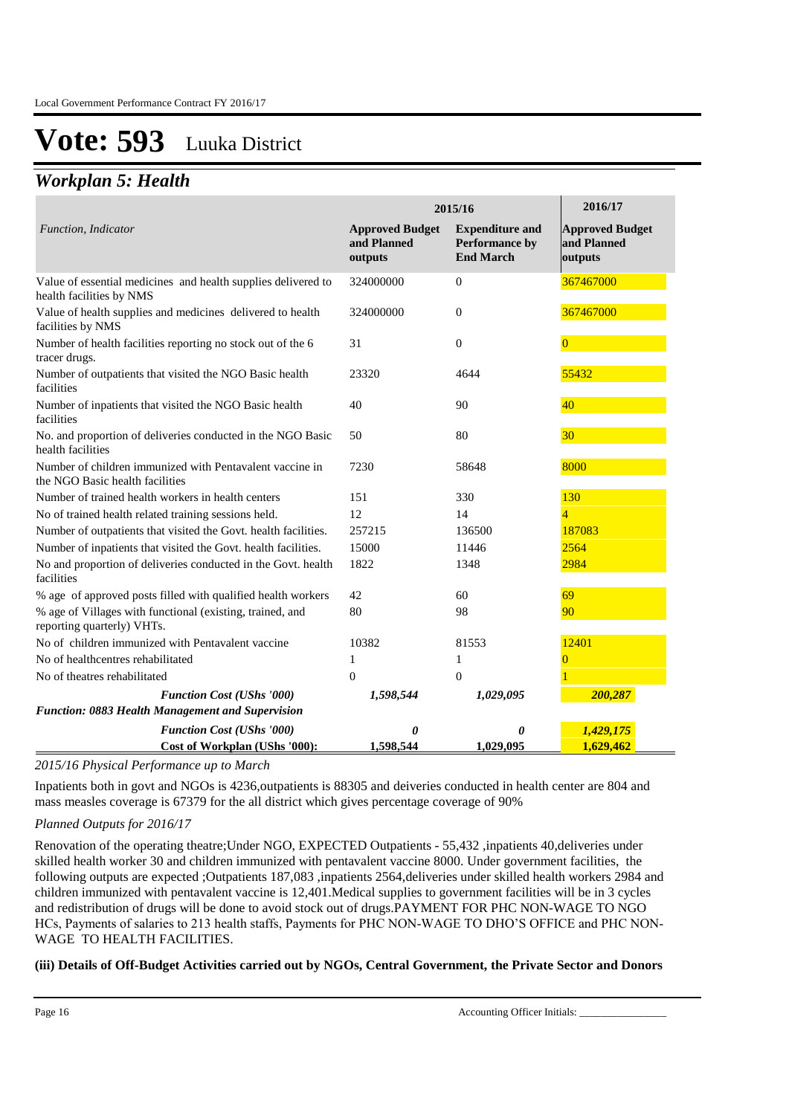### *Workplan 5: Health*

|                                                                                             |                                                  | 2015/16                                                      | 2016/17                                          |
|---------------------------------------------------------------------------------------------|--------------------------------------------------|--------------------------------------------------------------|--------------------------------------------------|
| Function, Indicator                                                                         | <b>Approved Budget</b><br>and Planned<br>outputs | <b>Expenditure and</b><br>Performance by<br><b>End March</b> | <b>Approved Budget</b><br>and Planned<br>outputs |
| Value of essential medicines and health supplies delivered to<br>health facilities by NMS   | 324000000                                        | $\Omega$                                                     | 367467000                                        |
| Value of health supplies and medicines delivered to health<br>facilities by NMS             | 324000000                                        | $\theta$                                                     | 367467000                                        |
| Number of health facilities reporting no stock out of the 6<br>tracer drugs.                | 31                                               | $\theta$                                                     | $\Omega$                                         |
| Number of outpatients that visited the NGO Basic health<br>facilities                       | 23320                                            | 4644                                                         | 55432                                            |
| Number of inpatients that visited the NGO Basic health<br>facilities                        | 40                                               | 90                                                           | 40                                               |
| No. and proportion of deliveries conducted in the NGO Basic<br>health facilities            | 50                                               | 80                                                           | 30                                               |
| Number of children immunized with Pentavalent vaccine in<br>the NGO Basic health facilities | 7230                                             | 58648                                                        | 8000                                             |
| Number of trained health workers in health centers                                          | 151                                              | 330                                                          | 130                                              |
| No of trained health related training sessions held.                                        | 12                                               | 14                                                           | $\overline{4}$                                   |
| Number of outpatients that visited the Govt. health facilities.                             | 257215                                           | 136500                                                       | 187083                                           |
| Number of inpatients that visited the Govt. health facilities.                              | 15000                                            | 11446                                                        | 2564                                             |
| No and proportion of deliveries conducted in the Govt. health<br>facilities                 | 1822                                             | 1348                                                         | 2984                                             |
| % age of approved posts filled with qualified health workers                                | 42                                               | 60                                                           | 69                                               |
| % age of Villages with functional (existing, trained, and<br>reporting quarterly) VHTs.     | 80                                               | 98                                                           | 90                                               |
| No of children immunized with Pentavalent vaccine                                           | 10382                                            | 81553                                                        | 12401                                            |
| No of healthcentres rehabilitated                                                           | 1                                                | 1                                                            | $\Omega$                                         |
| No of theatres rehabilitated                                                                | $\theta$                                         | $\theta$                                                     |                                                  |
| <b>Function Cost (UShs '000)</b>                                                            | 1,598,544                                        | 1,029,095                                                    | 200,287                                          |
| Function: 0883 Health Management and Supervision                                            |                                                  |                                                              |                                                  |
| <b>Function Cost (UShs '000)</b>                                                            | 0                                                | 0                                                            | 1,429,175                                        |
| Cost of Workplan (UShs '000):                                                               | 1,598,544                                        | 1.029.095                                                    | 1,629,462                                        |

*2015/16 Physical Performance up to March*

Inpatients both in govt and NGOs is 4236,outpatients is 88305 and deiveries conducted in health center are 804 and mass measles coverage is 67379 for the all district which gives percentage coverage of 90%

### *Planned Outputs for 2016/17*

Renovation of the operating theatre;Under NGO, EXPECTED Outpatients - 55,432 ,inpatients 40,deliveries under skilled health worker 30 and children immunized with pentavalent vaccine 8000. Under government facilities, the following outputs are expected ;Outpatients 187,083 ,inpatients 2564,deliveries under skilled health workers 2984 and children immunized with pentavalent vaccine is 12,401.Medical supplies to government facilities will be in 3 cycles and redistribution of drugs will be done to avoid stock out of drugs.PAYMENT FOR PHC NON-WAGE TO NGO HCs, Payments of salaries to 213 health staffs, Payments for PHC NON-WAGE TO DHO'S OFFICE and PHC NON-WAGE TO HEALTH FACILITIES.

### **(iii) Details of Off-Budget Activities carried out by NGOs, Central Government, the Private Sector and Donors**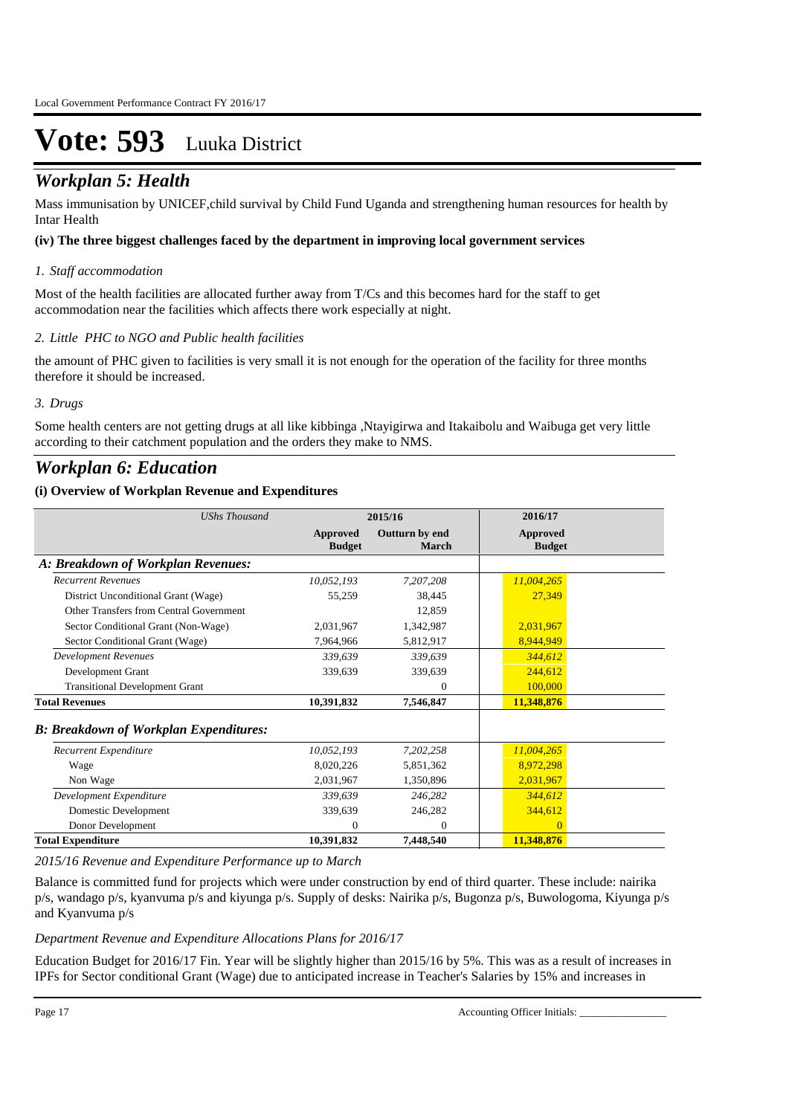## **(***Workplan 5: Health***) Details of Off-Budget Activities can be not only and Donors and Donors <b>Budget Activities** Sector and Donors *Contral Government* Sector and Donors *Contral Government* Sector *Activities*

Mass immunisation by UNICEF,child survival by Child Fund Uganda and strengthening human resources for health by Intar Health

### **(iv) The three biggest challenges faced by the department in improving local government services**

### *Staff accommodation 1.*

Most of the health facilities are allocated further away from T/Cs and this becomes hard for the staff to get accommodation near the facilities which affects there work especially at night.

### *Little PHC to NGO and Public health facilities 2.*

the amount of PHC given to facilities is very small it is not enough for the operation of the facility for three months therefore it should be increased.

### *Drugs 3.*

Some health centers are not getting drugs at all like kibbinga ,Ntayigirwa and Itakaibolu and Waibuga get very little according to their catchment population and the orders they make to NMS.

## *Workplan 6: Education*

### **(i) Overview of Workplan Revenue and Expenditures**

| <b>UShs Thousand</b>                          |                                  | 2015/16                        | 2016/17                   |  |
|-----------------------------------------------|----------------------------------|--------------------------------|---------------------------|--|
|                                               | <b>Approved</b><br><b>Budget</b> | Outturn by end<br><b>March</b> | Approved<br><b>Budget</b> |  |
| A: Breakdown of Workplan Revenues:            |                                  |                                |                           |  |
| <b>Recurrent Revenues</b>                     | 10,052,193                       | 7,207,208                      | 11,004,265                |  |
| District Unconditional Grant (Wage)           | 55,259                           | 38,445                         | 27,349                    |  |
| Other Transfers from Central Government       |                                  | 12,859                         |                           |  |
| Sector Conditional Grant (Non-Wage)           | 2,031,967                        | 1,342,987                      | 2,031,967                 |  |
| Sector Conditional Grant (Wage)               | 7,964,966                        | 5,812,917                      | 8,944,949                 |  |
| <b>Development Revenues</b>                   | 339,639                          | 339,639                        | 344,612                   |  |
| Development Grant                             | 339,639                          | 339,639                        | 244,612                   |  |
| <b>Transitional Development Grant</b>         |                                  | $\mathbf{0}$                   | 100,000                   |  |
| <b>Total Revenues</b>                         | 10,391,832                       | 7,546,847                      | 11,348,876                |  |
| <b>B: Breakdown of Workplan Expenditures:</b> |                                  |                                |                           |  |
| Recurrent Expenditure                         | 10,052,193                       | 7,202,258                      | 11,004,265                |  |
| Wage                                          | 8,020,226                        | 5,851,362                      | 8,972,298                 |  |
| Non Wage                                      | 2,031,967                        | 1,350,896                      | 2,031,967                 |  |
| Development Expenditure                       | 339,639                          | 246,282                        | 344,612                   |  |
| Domestic Development                          | 339,639                          | 246,282                        | 344,612                   |  |
| Donor Development                             | $\mathbf{0}$                     | $\mathbf{0}$                   | $\Omega$                  |  |
| <b>Total Expenditure</b>                      | 10,391,832                       | 7,448,540                      | 11,348,876                |  |

*2015/16 Revenue and Expenditure Performance up to March*

Balance is committed fund for projects which were under construction by end of third quarter. These include: nairika p/s, wandago p/s, kyanvuma p/s and kiyunga p/s. Supply of desks: Nairika p/s, Bugonza p/s, Buwologoma, Kiyunga p/s and Kyanvuma p/s

*Department Revenue and Expenditure Allocations Plans for 2016/17*

Education Budget for 2016/17 Fin. Year will be slightly higher than 2015/16 by 5%. This was as a result of increases in IPFs for Sector conditional Grant (Wage) due to anticipated increase in Teacher's Salaries by 15% and increases in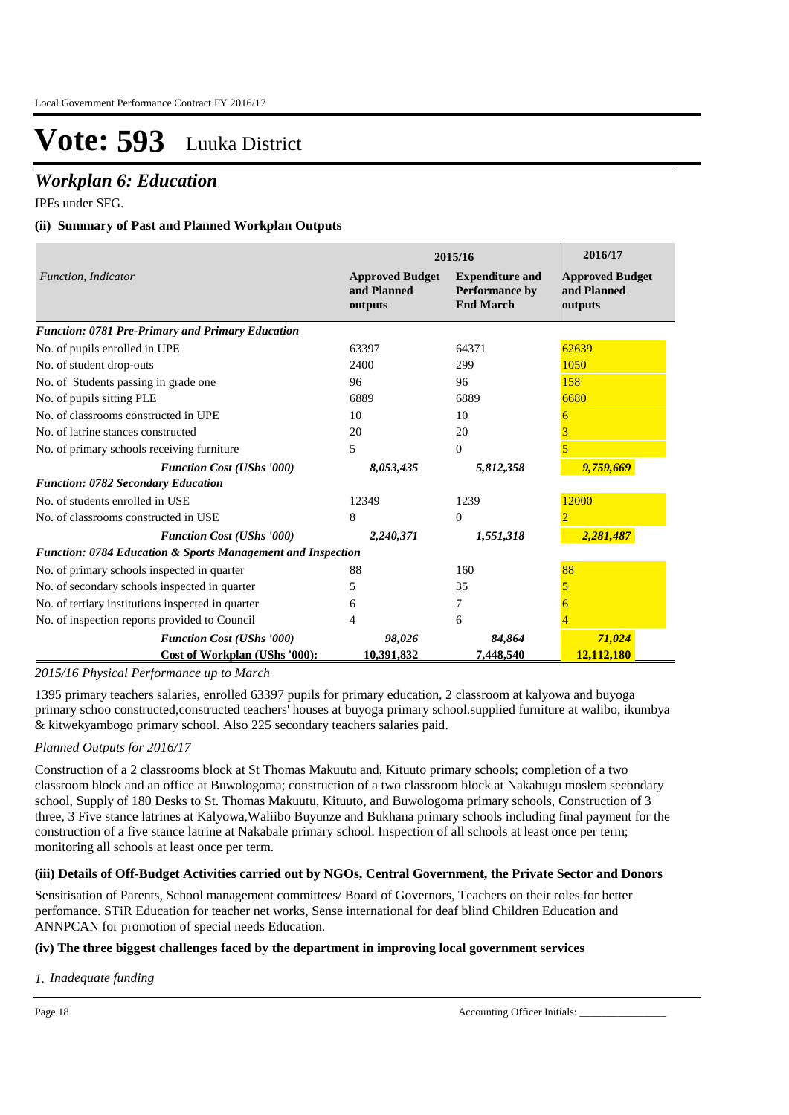## *Workplan 6: Education*

IPFs under SFG.

### **(ii) Summary of Past and Planned Workplan Outputs**

|                                                             |                                                  | 2015/16                                                             | 2016/17                                          |
|-------------------------------------------------------------|--------------------------------------------------|---------------------------------------------------------------------|--------------------------------------------------|
| <b>Function, Indicator</b>                                  | <b>Approved Budget</b><br>and Planned<br>outputs | <b>Expenditure and</b><br><b>Performance by</b><br><b>End March</b> | <b>Approved Budget</b><br>and Planned<br>outputs |
| <b>Function: 0781 Pre-Primary and Primary Education</b>     |                                                  |                                                                     |                                                  |
| No. of pupils enrolled in UPE                               | 63397                                            | 64371                                                               | 62639                                            |
| No. of student drop-outs                                    | 2400                                             | 299                                                                 | 1050                                             |
| No. of Students passing in grade one                        | 96                                               | 96                                                                  | 158                                              |
| No. of pupils sitting PLE                                   | 6889                                             | 6889                                                                | 6680                                             |
| No. of classrooms constructed in UPE                        | 10                                               | 10                                                                  | 6                                                |
| No. of latrine stances constructed                          | 20                                               | 20                                                                  |                                                  |
| No. of primary schools receiving furniture                  | 5                                                | $\mathbf{0}$                                                        |                                                  |
| <b>Function Cost (UShs '000)</b>                            | 8,053,435                                        | 5,812,358                                                           | 9,759,669                                        |
| <b>Function: 0782 Secondary Education</b>                   |                                                  |                                                                     |                                                  |
| No. of students enrolled in USE                             | 12349                                            | 1239                                                                | 12000                                            |
| No. of classrooms constructed in USE                        | 8                                                | $\Omega$                                                            | $\mathcal{D}_{\mathcal{A}}$                      |
| <b>Function Cost (UShs '000)</b>                            | 2,240,371                                        | 1,551,318                                                           | 2,281,487                                        |
| Function: 0784 Education & Sports Management and Inspection |                                                  |                                                                     |                                                  |
| No. of primary schools inspected in quarter                 | 88                                               | 160                                                                 | 88                                               |
| No. of secondary schools inspected in quarter               | 5.                                               | 35                                                                  |                                                  |
| No. of tertiary institutions inspected in quarter           | 6                                                | 7                                                                   |                                                  |
| No. of inspection reports provided to Council               | 4                                                | 6                                                                   |                                                  |
| <b>Function Cost (UShs '000)</b>                            | 98,026                                           | 84,864                                                              | 71,024                                           |
| Cost of Workplan (UShs '000):                               | 10,391,832                                       | 7,448,540                                                           | 12,112,180                                       |

### *2015/16 Physical Performance up to March*

1395 primary teachers salaries, enrolled 63397 pupils for primary education, 2 classroom at kalyowa and buyoga primary schoo constructed,constructed teachers' houses at buyoga primary school.supplied furniture at walibo, ikumbya & kitwekyambogo primary school. Also 225 secondary teachers salaries paid.

### *Planned Outputs for 2016/17*

Construction of a 2 classrooms block at St Thomas Makuutu and, Kituuto primary schools; completion of a two classroom block and an office at Buwologoma; construction of a two classroom block at Nakabugu moslem secondary school, Supply of 180 Desks to St. Thomas Makuutu, Kituuto, and Buwologoma primary schools, Construction of 3 three, 3 Five stance latrines at Kalyowa,Waliibo Buyunze and Bukhana primary schools including final payment for the construction of a five stance latrine at Nakabale primary school. Inspection of all schools at least once per term; monitoring all schools at least once per term.

### **(iii) Details of Off-Budget Activities carried out by NGOs, Central Government, the Private Sector and Donors**

Sensitisation of Parents, School management committees/ Board of Governors, Teachers on their roles for better perfomance. STiR Education for teacher net works, Sense international for deaf blind Children Education and ANNPCAN for promotion of special needs Education.

### **(iv) The three biggest challenges faced by the department in improving local government services**

*Inadequate funding 1.*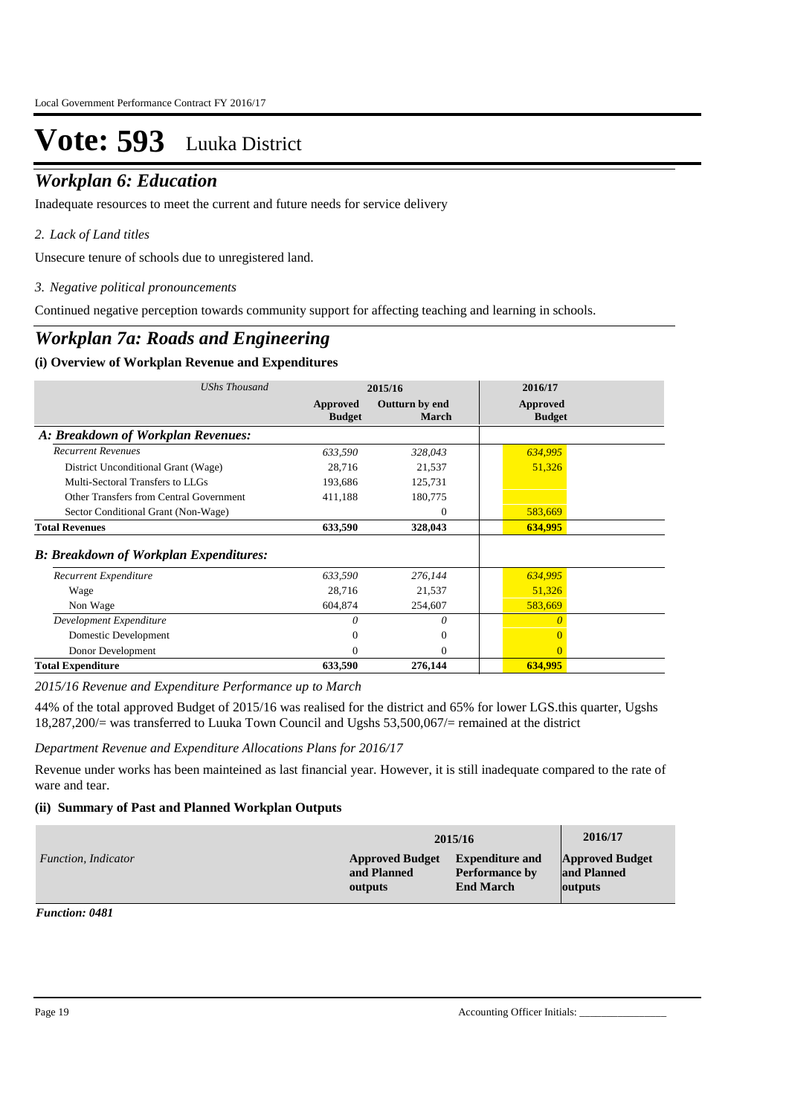### *Workplan 6: Education*

Inadequate resources to meet the current and future needs for service delivery

### *Lack of Land titles 2.*

Unsecure tenure of schools due to unregistered land.

*Negative political pronouncements 3.*

Continued negative perception towards community support for affecting teaching and learning in schools.

### *Workplan 7a: Roads and Engineering*

### **(i) Overview of Workplan Revenue and Expenditures**

| <b>UShs Thousand</b>                           |                           | 2015/16                 | 2016/17                   |
|------------------------------------------------|---------------------------|-------------------------|---------------------------|
|                                                | Approved<br><b>Budget</b> | Outturn by end<br>March | Approved<br><b>Budget</b> |
| A: Breakdown of Workplan Revenues:             |                           |                         |                           |
| <b>Recurrent Revenues</b>                      | 633,590                   | 328,043                 | 634,995                   |
| District Unconditional Grant (Wage)            | 28,716                    | 21,537                  | 51,326                    |
| Multi-Sectoral Transfers to LLGs               | 193,686                   | 125,731                 |                           |
| <b>Other Transfers from Central Government</b> | 411,188                   | 180,775                 |                           |
| Sector Conditional Grant (Non-Wage)            |                           | $\mathbf{0}$            | 583,669                   |
| <b>Total Revenues</b>                          | 633,590                   | 328,043                 | 634,995                   |
| <b>B: Breakdown of Workplan Expenditures:</b>  |                           |                         |                           |
| Recurrent Expenditure                          | 633,590                   | 276,144                 | 634,995                   |
| Wage                                           | 28,716                    | 21,537                  | 51,326                    |
| Non Wage                                       | 604,874                   | 254,607                 | 583,669                   |
| Development Expenditure                        | $\Omega$                  | 0                       | $\Omega$                  |
| Domestic Development                           |                           | $\Omega$                |                           |
| Donor Development                              | 0                         | $\Omega$                | $\Omega$                  |
| <b>Total Expenditure</b>                       | 633,590                   | 276,144                 | 634,995                   |

*2015/16 Revenue and Expenditure Performance up to March*

44% of the total approved Budget of 2015/16 was realised for the district and 65% for lower LGS.this quarter, Ugshs 18,287,200/= was transferred to Luuka Town Council and Ugshs 53,500,067/= remained at the district

*Department Revenue and Expenditure Allocations Plans for 2016/17*

Revenue under works has been mainteined as last financial year. However, it is still inadequate compared to the rate of ware and tear.

### **(ii) Summary of Past and Planned Workplan Outputs**

|                            |                        | 2015/16                | 2016/17                |
|----------------------------|------------------------|------------------------|------------------------|
| <i>Function, Indicator</i> | <b>Approved Budget</b> | <b>Expenditure and</b> | <b>Approved Budget</b> |
|                            | and Planned            | <b>Performance by</b>  | and Planned            |
|                            | outputs                | <b>End March</b>       | outputs                |

*Function: 0481*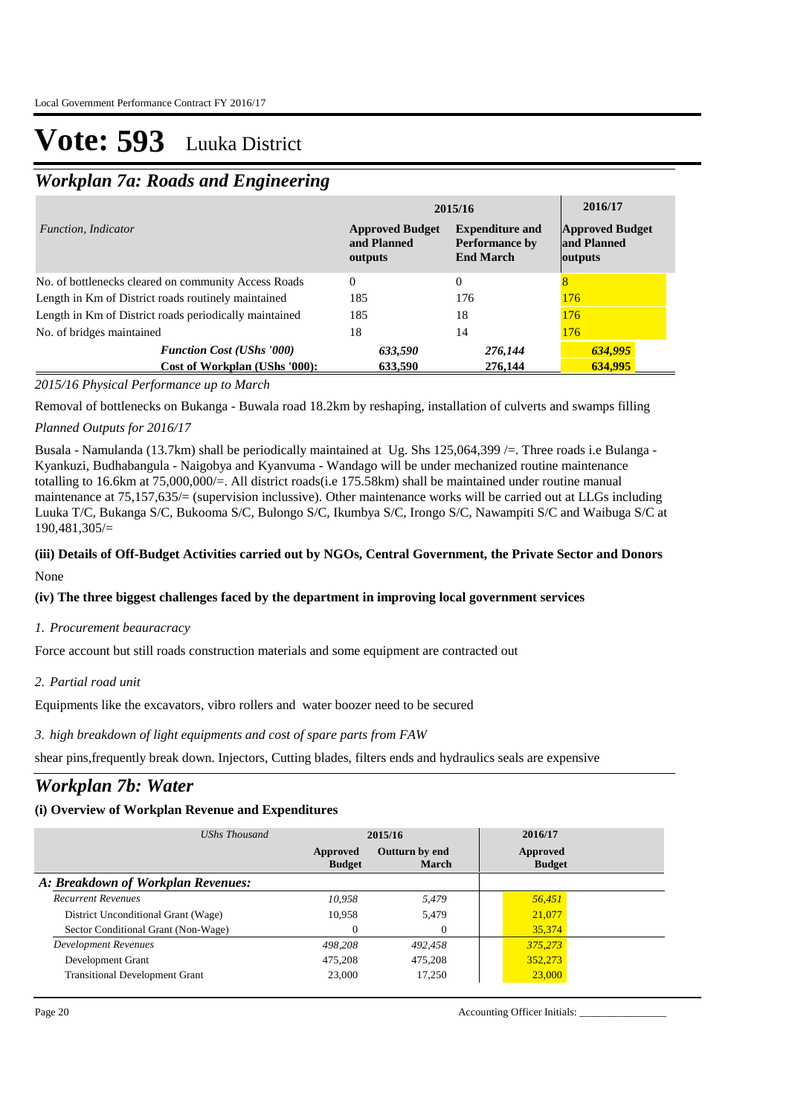## *Workplan 7a: Roads and Engineering*

|                                                                   | 2015/16                                          |                                                                     |                                                  |
|-------------------------------------------------------------------|--------------------------------------------------|---------------------------------------------------------------------|--------------------------------------------------|
| Function, Indicator                                               | <b>Approved Budget</b><br>and Planned<br>outputs | <b>Expenditure and</b><br><b>Performance by</b><br><b>End March</b> | <b>Approved Budget</b><br>and Planned<br>outputs |
| No. of bottlenecks cleared on community Access Roads              | $\Omega$                                         | $\Omega$                                                            | 8                                                |
| Length in Km of District roads routinely maintained               | 185                                              | 176                                                                 | 176                                              |
| Length in Km of District roads periodically maintained            | 185                                              | 18                                                                  | 176                                              |
| No. of bridges maintained                                         | 18                                               | 14                                                                  | 176                                              |
| <b>Function Cost (UShs '000)</b><br>Cost of Workplan (UShs '000): | 633,590<br>633,590                               | 276,144<br>276,144                                                  | 634,995<br>634,995                               |

*2015/16 Physical Performance up to March*

Removal of bottlenecks on Bukanga - Buwala road 18.2km by reshaping, installation of culverts and swamps filling

### *Planned Outputs for 2016/17*

Busala - Namulanda (13.7km) shall be periodically maintained at Ug. Shs 125,064,399 /=. Three roads i.e Bulanga - Kyankuzi, Budhabangula - Naigobya and Kyanvuma - Wandago will be under mechanized routine maintenance totalling to 16.6km at 75,000,000/=. All district roads(i.e 175.58km) shall be maintained under routine manual maintenance at 75,157,635/= (supervision inclussive). Other maintenance works will be carried out at LLGs including Luuka T/C, Bukanga S/C, Bukooma S/C, Bulongo S/C, Ikumbya S/C, Irongo S/C, Nawampiti S/C and Waibuga S/C at 190,481,305/=

### **(iii) Details of Off-Budget Activities carried out by NGOs, Central Government, the Private Sector and Donors**  None

### **(iv) The three biggest challenges faced by the department in improving local government services**

### *Procurement beauracracy 1.*

Force account but still roads construction materials and some equipment are contracted out

### *Partial road unit 2.*

Equipments like the excavators, vibro rollers and water boozer need to be secured

### *high breakdown of light equipments and cost of spare parts from FAW 3.*

shear pins,frequently break down. Injectors, Cutting blades, filters ends and hydraulics seals are expensive

### *Workplan 7b: Water*

### **(i) Overview of Workplan Revenue and Expenditures**

| UShs Thousand                         |                           | 2015/16                 |                           |  |
|---------------------------------------|---------------------------|-------------------------|---------------------------|--|
|                                       | Approved<br><b>Budget</b> | Outturn by end<br>March | Approved<br><b>Budget</b> |  |
| A: Breakdown of Workplan Revenues:    |                           |                         |                           |  |
| <b>Recurrent Revenues</b>             | 10,958                    | 5,479                   | 56,451                    |  |
| District Unconditional Grant (Wage)   | 10.958                    | 5.479                   | 21,077                    |  |
| Sector Conditional Grant (Non-Wage)   | $\Omega$                  | $\mathbf{0}$            | 35,374                    |  |
| Development Revenues                  | 498.208                   | 492,458                 | 375,273                   |  |
| Development Grant                     | 475.208                   | 475,208                 | 352,273                   |  |
| <b>Transitional Development Grant</b> | 23,000                    | 17,250                  | 23,000                    |  |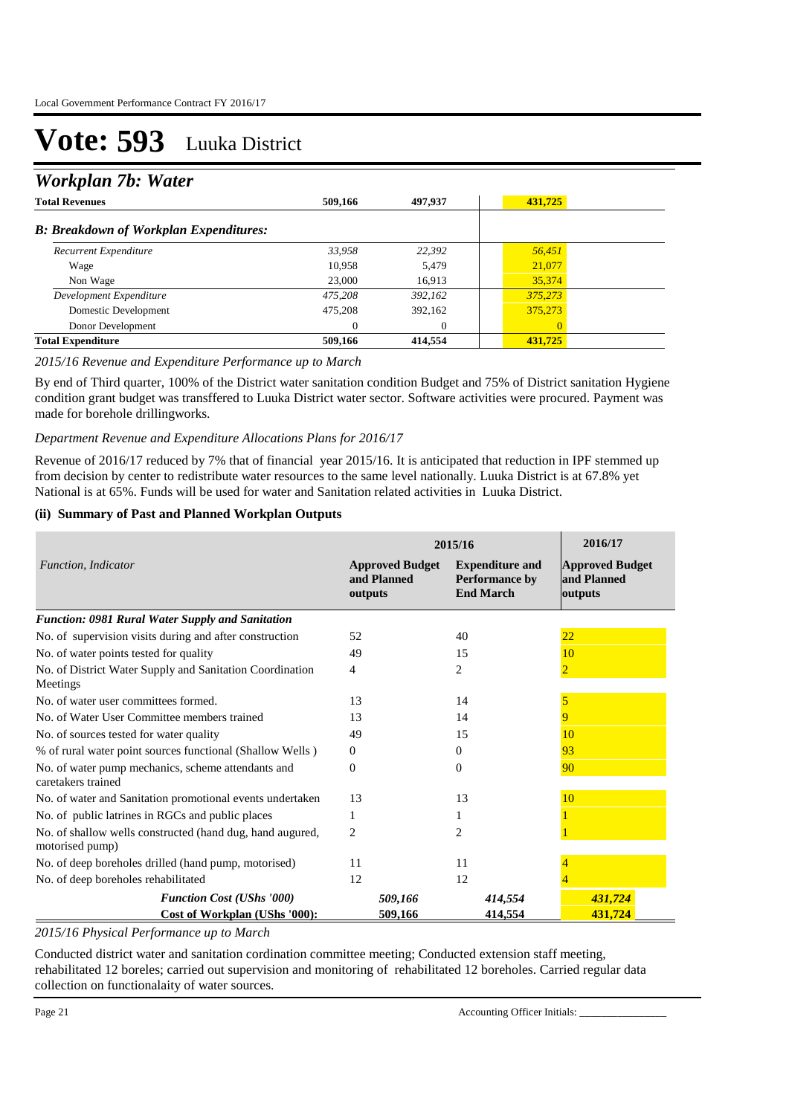## *Workplan 7b: Water*

| <b>Total Revenues</b>                         | 509,166  | 497,937      | 431,725 |  |
|-----------------------------------------------|----------|--------------|---------|--|
| <b>B: Breakdown of Workplan Expenditures:</b> |          |              |         |  |
| Recurrent Expenditure                         | 33,958   | 22,392       | 56,451  |  |
| Wage                                          | 10,958   | 5.479        | 21,077  |  |
| Non Wage                                      | 23,000   | 16.913       | 35,374  |  |
| Development Expenditure                       | 475,208  | 392,162      | 375,273 |  |
| Domestic Development                          | 475,208  | 392,162      | 375,273 |  |
| Donor Development                             | $\Omega$ | $\mathbf{0}$ |         |  |
| <b>Total Expenditure</b>                      | 509,166  | 414,554      | 431,725 |  |

### *2015/16 Revenue and Expenditure Performance up to March*

By end of Third quarter, 100% of the District water sanitation condition Budget and 75% of District sanitation Hygiene condition grant budget was transffered to Luuka District water sector. Software activities were procured. Payment was made for borehole drillingworks.

#### *Department Revenue and Expenditure Allocations Plans for 2016/17*

Revenue of 2016/17 reduced by 7% that of financial year 2015/16. It is anticipated that reduction in IPF stemmed up from decision by center to redistribute water resources to the same level nationally. Luuka District is at 67.8% yet National is at 65%. Funds will be used for water and Sanitation related activities in Luuka District.

### **(ii) Summary of Past and Planned Workplan Outputs**

|                                                                              | 2015/16                                          |                                                              |                                                  |
|------------------------------------------------------------------------------|--------------------------------------------------|--------------------------------------------------------------|--------------------------------------------------|
| Function, Indicator                                                          | <b>Approved Budget</b><br>and Planned<br>outputs | <b>Expenditure and</b><br>Performance by<br><b>End March</b> | <b>Approved Budget</b><br>and Planned<br>outputs |
| <b>Function: 0981 Rural Water Supply and Sanitation</b>                      |                                                  |                                                              |                                                  |
| No. of supervision visits during and after construction                      | 52                                               | 40                                                           | 22                                               |
| No. of water points tested for quality                                       | 49                                               | 15                                                           | 10                                               |
| No. of District Water Supply and Sanitation Coordination<br>Meetings         | 4                                                | 2                                                            | $\overline{2}$                                   |
| No. of water user committees formed.                                         | 13                                               | 14                                                           |                                                  |
| No. of Water User Committee members trained                                  | 13                                               | 14                                                           | 9                                                |
| No. of sources tested for water quality                                      | 49                                               | 15                                                           | 10                                               |
| % of rural water point sources functional (Shallow Wells)                    | $\Omega$                                         | $\Omega$                                                     | 93                                               |
| No. of water pump mechanics, scheme attendants and<br>caretakers trained     | $\Omega$                                         | $\theta$                                                     | 90                                               |
| No. of water and Sanitation promotional events undertaken                    | 13                                               | 13                                                           | 10                                               |
| No. of public latrines in RGCs and public places                             | 1                                                |                                                              |                                                  |
| No. of shallow wells constructed (hand dug, hand augured,<br>motorised pump) | 2                                                | 2                                                            |                                                  |
| No. of deep boreholes drilled (hand pump, motorised)                         | 11                                               | 11                                                           |                                                  |
| No. of deep boreholes rehabilitated                                          | 12                                               | 12                                                           |                                                  |
| <b>Function Cost (UShs '000)</b>                                             | 509,166                                          | 414,554                                                      | 431,724                                          |
| Cost of Workplan (UShs '000):                                                | 509,166                                          | 414,554                                                      | 431,724                                          |

### *2015/16 Physical Performance up to March*

Conducted district water and sanitation cordination committee meeting; Conducted extension staff meeting, rehabilitated 12 boreles; carried out supervision and monitoring of rehabilitated 12 boreholes. Carried regular data collection on functionalaity of water sources.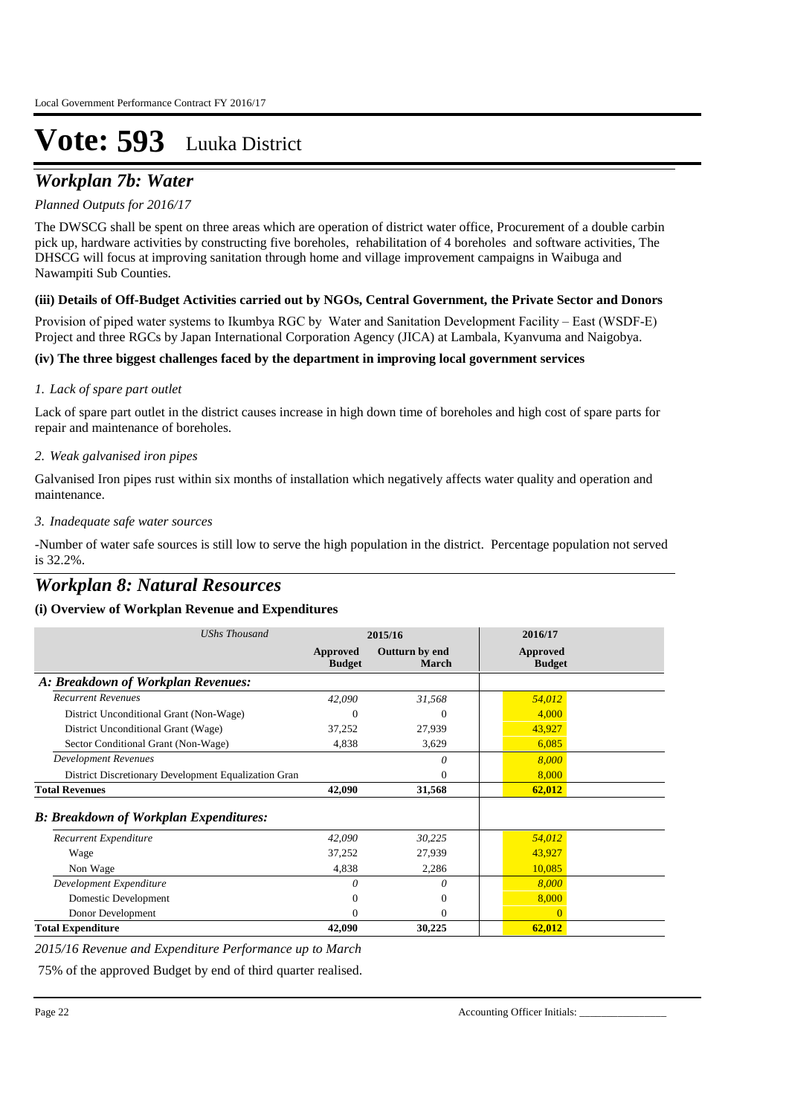## *Workplan 7b: Water*

### *Planned Outputs for 2016/17*

The DWSCG shall be spent on three areas which are operation of district water office, Procurement of a double carbin pick up, hardware activities by constructing five boreholes, rehabilitation of 4 boreholes and software activities, The DHSCG will focus at improving sanitation through home and village improvement campaigns in Waibuga and Nawampiti Sub Counties.

### **(iii) Details of Off-Budget Activities carried out by NGOs, Central Government, the Private Sector and Donors**

Provision of piped water systems to Ikumbya RGC by Water and Sanitation Development Facility – East (WSDF-E) Project and three RGCs by Japan International Corporation Agency (JICA) at Lambala, Kyanvuma and Naigobya.

### **(iv) The three biggest challenges faced by the department in improving local government services**

### *Lack of spare part outlet 1.*

Lack of spare part outlet in the district causes increase in high down time of boreholes and high cost of spare parts for repair and maintenance of boreholes.

### *Weak galvanised iron pipes 2.*

Galvanised Iron pipes rust within six months of installation which negatively affects water quality and operation and maintenance.

### *Inadequate safe water sources 3.*

-Number of water safe sources is still low to serve the high population in the district. Percentage population not served is 32.2%.

## *Workplan 8: Natural Resources*

### **(i) Overview of Workplan Revenue and Expenditures**

| <b>UShs Thousand</b>                                 | 2015/16                   |                                | 2016/17                   |
|------------------------------------------------------|---------------------------|--------------------------------|---------------------------|
|                                                      | Approved<br><b>Budget</b> | Outturn by end<br><b>March</b> | Approved<br><b>Budget</b> |
| A: Breakdown of Workplan Revenues:                   |                           |                                |                           |
| <b>Recurrent Revenues</b>                            | 42,090                    | 31,568                         | 54,012                    |
| District Unconditional Grant (Non-Wage)              | 0                         | $\Omega$                       | 4,000                     |
| District Unconditional Grant (Wage)                  | 37,252                    | 27,939                         | 43,927                    |
| Sector Conditional Grant (Non-Wage)                  | 4,838                     | 3,629                          | 6,085                     |
| <b>Development Revenues</b>                          |                           | 0                              | 8,000                     |
| District Discretionary Development Equalization Gran |                           | 0                              | 8,000                     |
| <b>Total Revenues</b>                                | 42,090                    | 31,568                         | 62,012                    |
| <b>B: Breakdown of Workplan Expenditures:</b>        |                           |                                |                           |
| Recurrent Expenditure                                | 42,090                    | 30,225                         | 54,012                    |
| Wage                                                 | 37,252                    | 27,939                         | 43,927                    |
| Non Wage                                             | 4,838                     | 2,286                          | 10,085                    |
| Development Expenditure                              | 0                         | 0                              | 8,000                     |
| Domestic Development                                 |                           | $\theta$                       | 8,000                     |
| Donor Development                                    | 0                         | $\Omega$                       | $\Omega$                  |
| <b>Total Expenditure</b>                             | 42,090                    | 30,225                         | 62,012                    |

*2015/16 Revenue and Expenditure Performance up to March*

75% of the approved Budget by end of third quarter realised.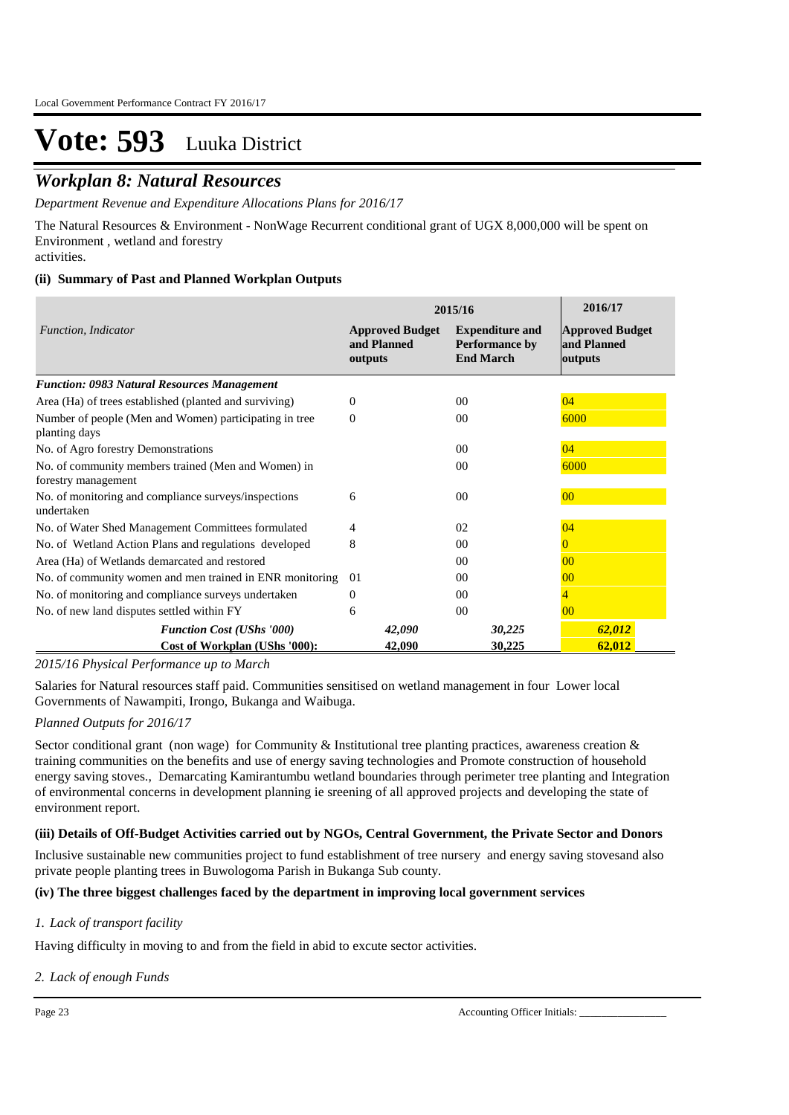## *Workplan 8: Natural Resources*

*Department Revenue and Expenditure Allocations Plans for 2016/17*

The Natural Resources & Environment - NonWage Recurrent conditional grant of UGX 8,000,000 will be spent on Environment , wetland and forestry

activities.

### **(ii) Summary of Past and Planned Workplan Outputs**

|                                                                            | 2015/16                                          | 2016/17                                                             |                                                  |
|----------------------------------------------------------------------------|--------------------------------------------------|---------------------------------------------------------------------|--------------------------------------------------|
| Function, Indicator                                                        | <b>Approved Budget</b><br>and Planned<br>outputs | <b>Expenditure and</b><br><b>Performance by</b><br><b>End March</b> | <b>Approved Budget</b><br>and Planned<br>outputs |
| <b>Function: 0983 Natural Resources Management</b>                         |                                                  |                                                                     |                                                  |
| Area (Ha) of trees established (planted and surviving)                     | $\Omega$                                         | 0 <sup>0</sup>                                                      | 04                                               |
| Number of people (Men and Women) participating in tree<br>planting days    | 0                                                | 00                                                                  | 6000                                             |
| No. of Agro forestry Demonstrations                                        |                                                  | 0 <sup>0</sup>                                                      | 04                                               |
| No. of community members trained (Men and Women) in<br>forestry management |                                                  | 0 <sup>0</sup>                                                      | 6000                                             |
| No. of monitoring and compliance surveys/inspections<br>undertaken         | 6                                                | 0 <sup>0</sup>                                                      | 00                                               |
| No. of Water Shed Management Committees formulated                         | 4                                                | 02                                                                  | 04                                               |
| No. of Wetland Action Plans and regulations developed                      | 8                                                | 0 <sup>0</sup>                                                      | $\Omega$                                         |
| Area (Ha) of Wetlands demarcated and restored                              |                                                  | 00                                                                  | 0 <sup>0</sup>                                   |
| No. of community women and men trained in ENR monitoring                   | 01                                               | 00                                                                  | 0 <sup>0</sup>                                   |
| No. of monitoring and compliance surveys undertaken                        | $\overline{0}$                                   | 00                                                                  | 4                                                |
| No. of new land disputes settled within FY                                 | 6                                                | $00\,$                                                              | 00                                               |
| <b>Function Cost (UShs '000)</b>                                           | 42,090                                           | 30,225                                                              | 62,012                                           |
| Cost of Workplan (UShs '000):                                              | 42,090                                           | 30,225                                                              | 62,012                                           |

### *2015/16 Physical Performance up to March*

Salaries for Natural resources staff paid. Communities sensitised on wetland management in four Lower local Governments of Nawampiti, Irongo, Bukanga and Waibuga.

### *Planned Outputs for 2016/17*

Sector conditional grant (non wage) for Community & Institutional tree planting practices, awareness creation & training communities on the benefits and use of energy saving technologies and Promote construction of household energy saving stoves., Demarcating Kamirantumbu wetland boundaries through perimeter tree planting and Integration of environmental concerns in development planning ie sreening of all approved projects and developing the state of environment report.

### **(iii) Details of Off-Budget Activities carried out by NGOs, Central Government, the Private Sector and Donors**

Inclusive sustainable new communities project to fund establishment of tree nursery and energy saving stovesand also private people planting trees in Buwologoma Parish in Bukanga Sub county.

### **(iv) The three biggest challenges faced by the department in improving local government services**

### *Lack of transport facility 1.*

Having difficulty in moving to and from the field in abid to excute sector activities.

### *Lack of enough Funds 2.*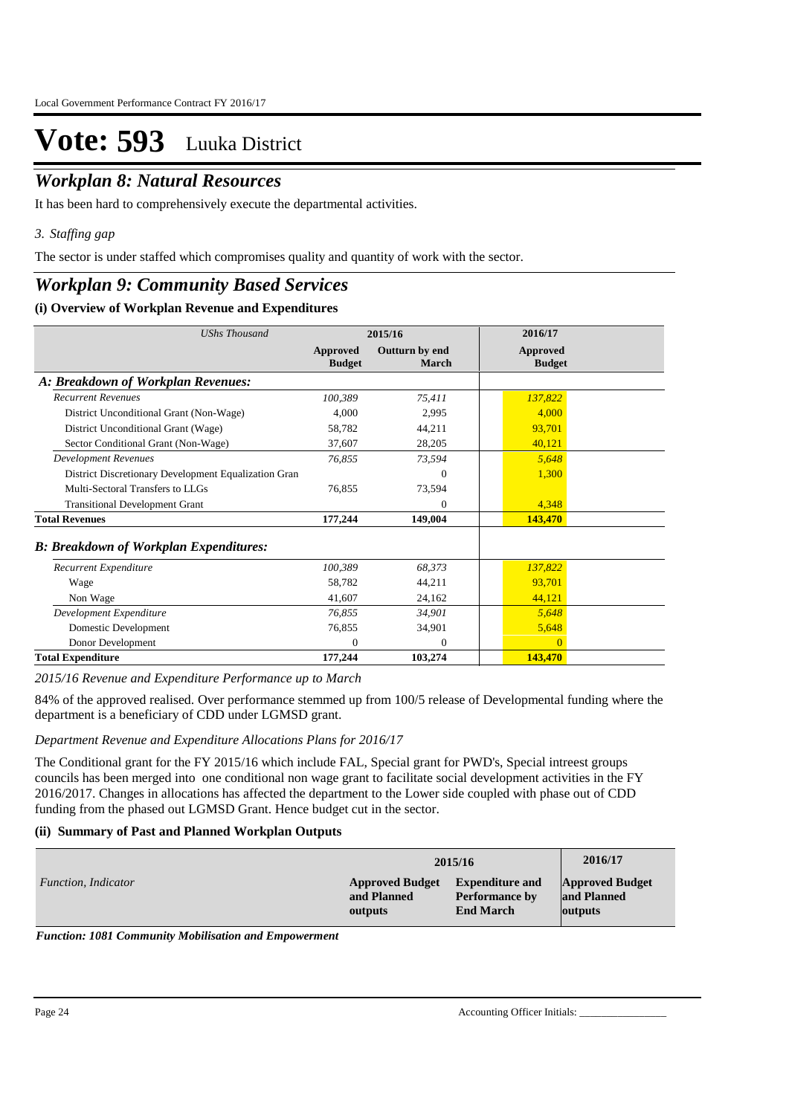## *Workplan 8: Natural Resources*

It has been hard to comprehensively execute the departmental activities.

*Staffing gap 3.*

The sector is under staffed which compromises quality and quantity of work with the sector.

### *Workplan 9: Community Based Services*

### **(i) Overview of Workplan Revenue and Expenditures**

| <b>UShs Thousand</b>                                 | 2015/16                   |                         | 2016/17                   |
|------------------------------------------------------|---------------------------|-------------------------|---------------------------|
|                                                      | Approved<br><b>Budget</b> | Outturn by end<br>March | Approved<br><b>Budget</b> |
| A: Breakdown of Workplan Revenues:                   |                           |                         |                           |
| <b>Recurrent Revenues</b>                            | 100,389                   | 75,411                  | 137,822                   |
| District Unconditional Grant (Non-Wage)              | 4,000                     | 2,995                   | 4,000                     |
| District Unconditional Grant (Wage)                  | 58,782                    | 44,211                  | 93,701                    |
| Sector Conditional Grant (Non-Wage)                  | 37,607                    | 28,205                  | 40,121                    |
| <b>Development Revenues</b>                          | 76,855                    | 73,594                  | 5,648                     |
| District Discretionary Development Equalization Gran |                           | $\Omega$                | 1,300                     |
| Multi-Sectoral Transfers to LLGs                     | 76,855                    | 73,594                  |                           |
| <b>Transitional Development Grant</b>                |                           | $\Omega$                | 4,348                     |
| <b>Total Revenues</b>                                | 177,244                   | 149,004                 | 143,470                   |
| <b>B: Breakdown of Workplan Expenditures:</b>        |                           |                         |                           |
| Recurrent Expenditure                                | 100,389                   | 68.373                  | 137,822                   |
| Wage                                                 | 58,782                    | 44,211                  | 93,701                    |
| Non Wage                                             | 41,607                    | 24,162                  | 44,121                    |
| Development Expenditure                              | 76,855                    | 34,901                  | 5,648                     |
| Domestic Development                                 | 76,855                    | 34,901                  | 5,648                     |
| Donor Development                                    | $\Omega$                  | $\Omega$                | $\Omega$                  |
| <b>Total Expenditure</b>                             | 177,244                   | 103,274                 | 143,470                   |

*2015/16 Revenue and Expenditure Performance up to March*

84% of the approved realised. Over performance stemmed up from 100/5 release of Developmental funding where the department is a beneficiary of CDD under LGMSD grant.

### *Department Revenue and Expenditure Allocations Plans for 2016/17*

The Conditional grant for the FY 2015/16 which include FAL, Special grant for PWD's, Special intreest groups councils has been merged into one conditional non wage grant to facilitate social development activities in the FY 2016/2017. Changes in allocations has affected the department to the Lower side coupled with phase out of CDD funding from the phased out LGMSD Grant. Hence budget cut in the sector.

### **(ii) Summary of Past and Planned Workplan Outputs**

|                     | 2015/16                | 2016/17                |                        |
|---------------------|------------------------|------------------------|------------------------|
| Function, Indicator | <b>Approved Budget</b> | <b>Expenditure and</b> | <b>Approved Budget</b> |
|                     | and Planned            | <b>Performance by</b>  | and Planned            |
|                     | outputs                | <b>End March</b>       | outputs                |

*Function: 1081 Community Mobilisation and Empowerment*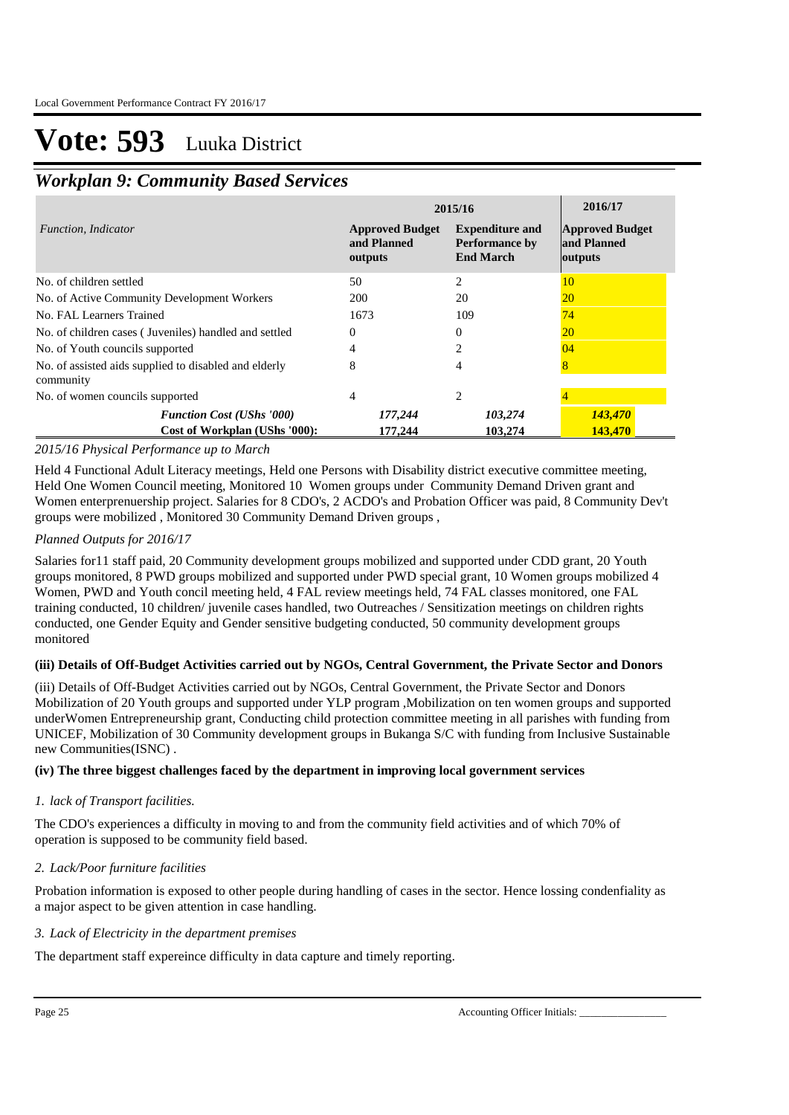## *Workplan 9: Community Based Services*

|                                                                    | 2015/16                                                                                                                 | 2016/17        |                                                  |
|--------------------------------------------------------------------|-------------------------------------------------------------------------------------------------------------------------|----------------|--------------------------------------------------|
| <i>Function, Indicator</i>                                         | <b>Expenditure and</b><br><b>Approved Budget</b><br>and Planned<br><b>Performance by</b><br><b>End March</b><br>outputs |                | <b>Approved Budget</b><br>and Planned<br>outputs |
| No. of children settled                                            | 50                                                                                                                      | $\overline{c}$ | 10                                               |
| No. of Active Community Development Workers                        | 200                                                                                                                     | 20             | <b>20</b>                                        |
| No. FAL Learners Trained                                           | 1673                                                                                                                    | 109            | 74                                               |
| No. of children cases (Juveniles) handled and settled              | 0                                                                                                                       | 0              | <b>20</b>                                        |
| No. of Youth councils supported                                    | 4                                                                                                                       |                | 04                                               |
| No. of assisted aids supplied to disabled and elderly<br>community | 8                                                                                                                       | 4              | 8                                                |
| No. of women councils supported                                    | 4                                                                                                                       | $\overline{c}$ |                                                  |
| <b>Function Cost (UShs '000)</b>                                   | 177,244                                                                                                                 | 103,274        | 143,470                                          |
| Cost of Workplan (UShs '000):                                      | 177,244                                                                                                                 | 103,274        | 143,470                                          |

### *2015/16 Physical Performance up to March*

Held 4 Functional Adult Literacy meetings, Held one Persons with Disability district executive committee meeting, Held One Women Council meeting, Monitored 10 Women groups under Community Demand Driven grant and Women enterprenuership project. Salaries for 8 CDO's, 2 ACDO's and Probation Officer was paid, 8 Community Dev't groups were mobilized , Monitored 30 Community Demand Driven groups ,

### *Planned Outputs for 2016/17*

Salaries for11 staff paid, 20 Community development groups mobilized and supported under CDD grant, 20 Youth groups monitored, 8 PWD groups mobilized and supported under PWD special grant, 10 Women groups mobilized 4 Women, PWD and Youth concil meeting held, 4 FAL review meetings held, 74 FAL classes monitored, one FAL training conducted, 10 children/ juvenile cases handled, two Outreaches / Sensitization meetings on children rights conducted, one Gender Equity and Gender sensitive budgeting conducted, 50 community development groups monitored

### **(iii) Details of Off-Budget Activities carried out by NGOs, Central Government, the Private Sector and Donors**

(iii) Details of Off-Budget Activities carried out by NGOs, Central Government, the Private Sector and Donors Mobilization of 20 Youth groups and supported under YLP program ,Mobilization on ten women groups and supported underWomen Entrepreneurship grant, Conducting child protection committee meeting in all parishes with funding from UNICEF, Mobilization of 30 Community development groups in Bukanga S/C with funding from Inclusive Sustainable new Communities(ISNC) .

### **(iv) The three biggest challenges faced by the department in improving local government services**

### *lack of Transport facilities. 1.*

The CDO's experiences a difficulty in moving to and from the community field activities and of which 70% of operation is supposed to be community field based.

### *Lack/Poor furniture facilities 2.*

Probation information is exposed to other people during handling of cases in the sector. Hence lossing condenfiality as a major aspect to be given attention in case handling.

### *Lack of Electricity in the department premises 3.*

The department staff expereince difficulty in data capture and timely reporting.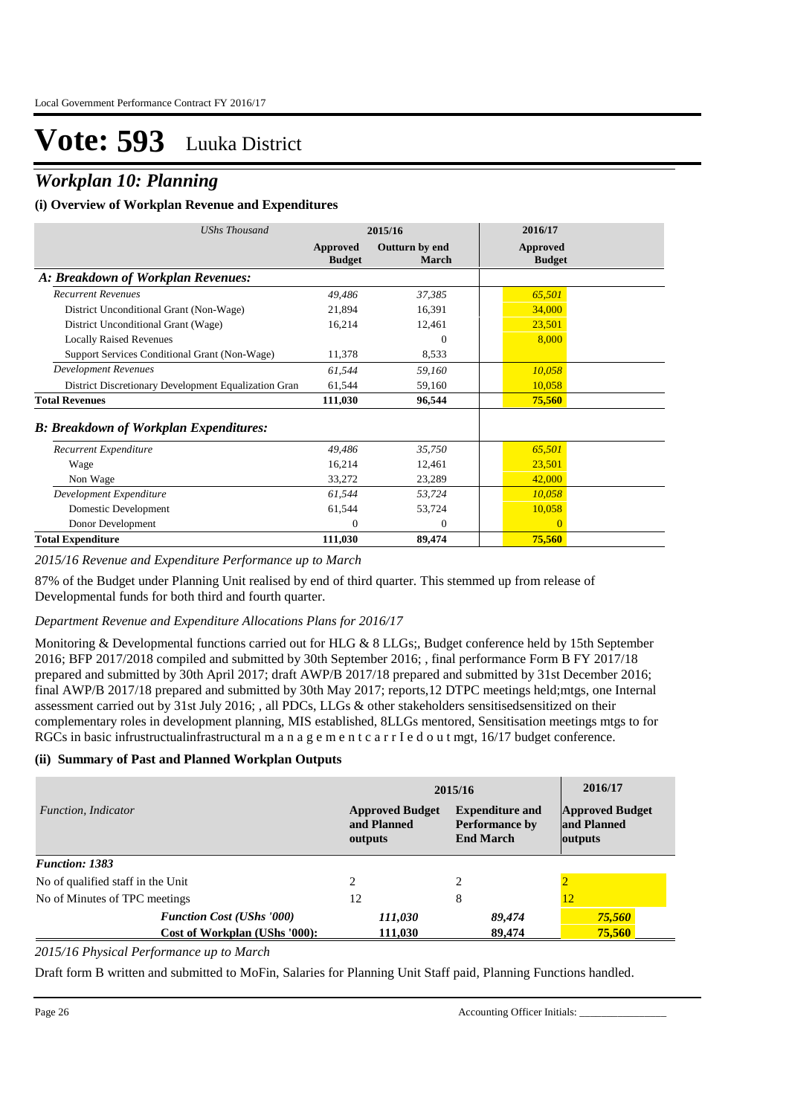## *Workplan 10: Planning*

### **(i) Overview of Workplan Revenue and Expenditures**

| <b>UShs Thousand</b>                                 | 2015/16                   |                         | 2016/17                   |  |
|------------------------------------------------------|---------------------------|-------------------------|---------------------------|--|
|                                                      | Approved<br><b>Budget</b> | Outturn by end<br>March | Approved<br><b>Budget</b> |  |
| A: Breakdown of Workplan Revenues:                   |                           |                         |                           |  |
| <b>Recurrent Revenues</b>                            | 49,486                    | 37,385                  | 65,501                    |  |
| District Unconditional Grant (Non-Wage)              | 21,894                    | 16,391                  | 34,000                    |  |
| District Unconditional Grant (Wage)                  | 16,214                    | 12,461                  | 23,501                    |  |
| <b>Locally Raised Revenues</b>                       |                           | $\Omega$                | 8,000                     |  |
| Support Services Conditional Grant (Non-Wage)        | 11,378                    | 8.533                   |                           |  |
| <b>Development Revenues</b>                          | 61,544                    | 59,160                  | 10,058                    |  |
| District Discretionary Development Equalization Gran | 61,544                    | 59,160                  | 10,058                    |  |
| <b>Total Revenues</b>                                | 111,030                   | 96,544                  | 75,560                    |  |
| <b>B: Breakdown of Workplan Expenditures:</b>        |                           |                         |                           |  |
| Recurrent Expenditure                                | 49,486                    | 35,750                  | 65,501                    |  |
| Wage                                                 | 16,214                    | 12,461                  | 23,501                    |  |
| Non Wage                                             | 33,272                    | 23,289                  | 42,000                    |  |
| Development Expenditure                              | 61,544                    | 53,724                  | 10,058                    |  |
| Domestic Development                                 | 61,544                    | 53,724                  | 10,058                    |  |
| Donor Development                                    | 0                         | $\Omega$                | $\Omega$                  |  |
| <b>Total Expenditure</b>                             | 111,030                   | 89,474                  | 75,560                    |  |

### *2015/16 Revenue and Expenditure Performance up to March*

87% of the Budget under Planning Unit realised by end of third quarter. This stemmed up from release of Developmental funds for both third and fourth quarter.

### *Department Revenue and Expenditure Allocations Plans for 2016/17*

Monitoring & Developmental functions carried out for HLG & 8 LLGs;, Budget conference held by 15th September 2016; BFP 2017/2018 compiled and submitted by 30th September 2016; , final performance Form B FY 2017/18 prepared and submitted by 30th April 2017; draft AWP/B 2017/18 prepared and submitted by 31st December 2016; final AWP/B 2017/18 prepared and submitted by 30th May 2017; reports,12 DTPC meetings held;mtgs, one Internal assessment carried out by 31st July 2016; , all PDCs, LLGs & other stakeholders sensitisedsensitized on their complementary roles in development planning, MIS established, 8LLGs mentored, Sensitisation meetings mtgs to for RGCs in basic infrustructualinfrastructural m a n a g e m e n t c a r r I e d o u t mgt, 16/17 budget conference.

### **(ii) Summary of Past and Planned Workplan Outputs**

|                                   | 2015/16                                                                                                                 | 2016/17 |                                                  |
|-----------------------------------|-------------------------------------------------------------------------------------------------------------------------|---------|--------------------------------------------------|
| Function, Indicator               | <b>Expenditure and</b><br><b>Approved Budget</b><br><b>Performance by</b><br>and Planned<br><b>End March</b><br>outputs |         | <b>Approved Budget</b><br>and Planned<br>outputs |
| <b>Function: 1383</b>             |                                                                                                                         |         |                                                  |
| No of qualified staff in the Unit | 2                                                                                                                       | 2       |                                                  |
| No of Minutes of TPC meetings     | 12                                                                                                                      | 8       |                                                  |
| <b>Function Cost (UShs '000)</b>  | 111,030                                                                                                                 | 89,474  | 75,560                                           |
| Cost of Workplan (UShs '000):     | 111,030                                                                                                                 | 89,474  | 75,560                                           |

### *2015/16 Physical Performance up to March*

Draft form B written and submitted to MoFin, Salaries for Planning Unit Staff paid, Planning Functions handled.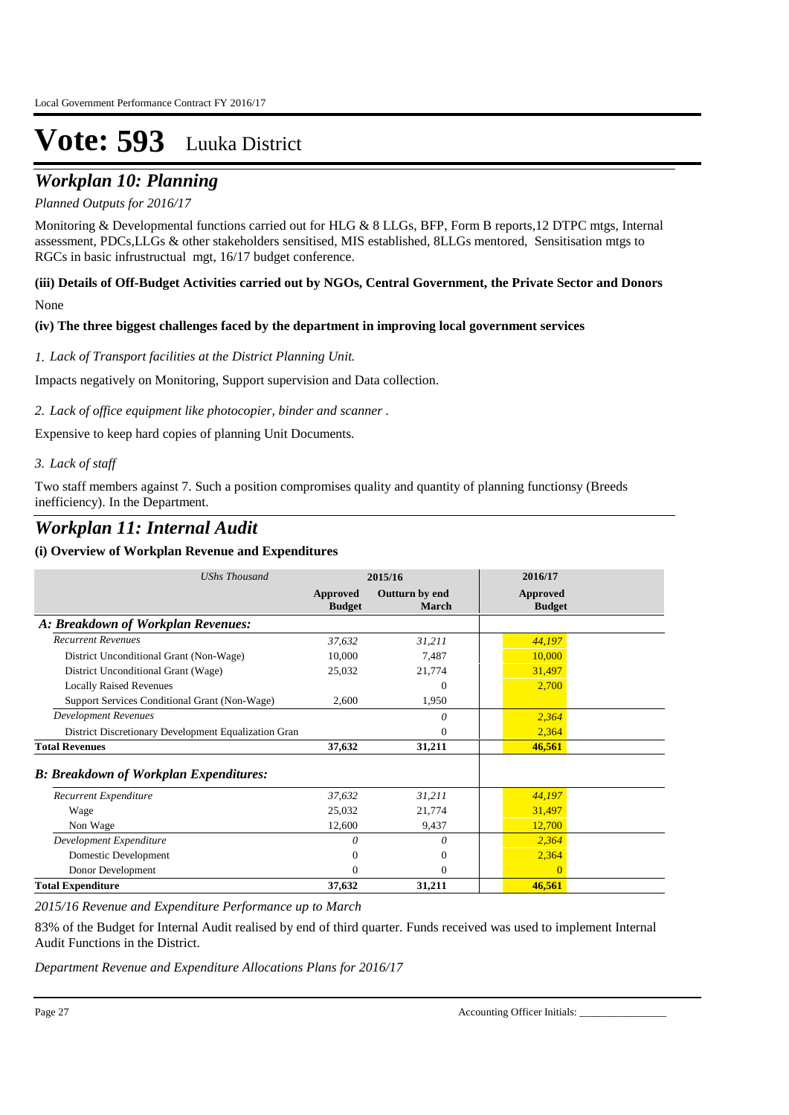## *Workplan 10: Planning*

### *Planned Outputs for 2016/17*

Monitoring & Developmental functions carried out for HLG & 8 LLGs, BFP, Form B reports,12 DTPC mtgs, Internal assessment, PDCs,LLGs & other stakeholders sensitised, MIS established, 8LLGs mentored, Sensitisation mtgs to RGCs in basic infrustructual mgt, 16/17 budget conference.

### **(iii) Details of Off-Budget Activities carried out by NGOs, Central Government, the Private Sector and Donors**  None

### **(iv) The three biggest challenges faced by the department in improving local government services**

### *Lack of Transport facilities at the District Planning Unit. 1.*

Impacts negatively on Monitoring, Support supervision and Data collection.

### *Lack of office equipment like photocopier, binder and scanner . 2.*

Expensive to keep hard copies of planning Unit Documents.

### *Lack of staff 3.*

Two staff members against 7. Such a position compromises quality and quantity of planning functionsy (Breeds inefficiency). In the Department.

### *Workplan 11: Internal Audit*

### **(i) Overview of Workplan Revenue and Expenditures**

| <b>UShs Thousand</b>                                 | 2015/16                   |                         | 2016/17                   |  |
|------------------------------------------------------|---------------------------|-------------------------|---------------------------|--|
|                                                      | Approved<br><b>Budget</b> | Outturn by end<br>March | Approved<br><b>Budget</b> |  |
| A: Breakdown of Workplan Revenues:                   |                           |                         |                           |  |
| <b>Recurrent Revenues</b>                            | 37,632                    | 31,211                  | 44,197                    |  |
| District Unconditional Grant (Non-Wage)              | 10,000                    | 7,487                   | 10,000                    |  |
| District Unconditional Grant (Wage)                  | 25,032                    | 21,774                  | 31,497                    |  |
| <b>Locally Raised Revenues</b>                       |                           | $\Omega$                | 2,700                     |  |
| Support Services Conditional Grant (Non-Wage)        | 2,600                     | 1,950                   |                           |  |
| <b>Development Revenues</b>                          |                           | 0                       | 2,364                     |  |
| District Discretionary Development Equalization Gran |                           | $\Omega$                | 2,364                     |  |
| <b>Total Revenues</b>                                | 37,632                    | 31,211                  | 46,561                    |  |
| <b>B: Breakdown of Workplan Expenditures:</b>        |                           |                         |                           |  |
| Recurrent Expenditure                                | 37,632                    | 31,211                  | 44,197                    |  |
| Wage                                                 | 25,032                    | 21,774                  | 31,497                    |  |
| Non Wage                                             | 12,600                    | 9,437                   | 12,700                    |  |
| Development Expenditure                              | 0                         | 0                       | 2,364                     |  |
| Domestic Development                                 | 0                         | $\mathbf{0}$            | 2,364                     |  |
| Donor Development                                    | 0                         | $\Omega$                | $\Omega$                  |  |
| <b>Total Expenditure</b>                             | 37,632                    | 31,211                  | 46,561                    |  |

*2015/16 Revenue and Expenditure Performance up to March*

83% of the Budget for Internal Audit realised by end of third quarter. Funds received was used to implement Internal Audit Functions in the District.

*Department Revenue and Expenditure Allocations Plans for 2016/17*